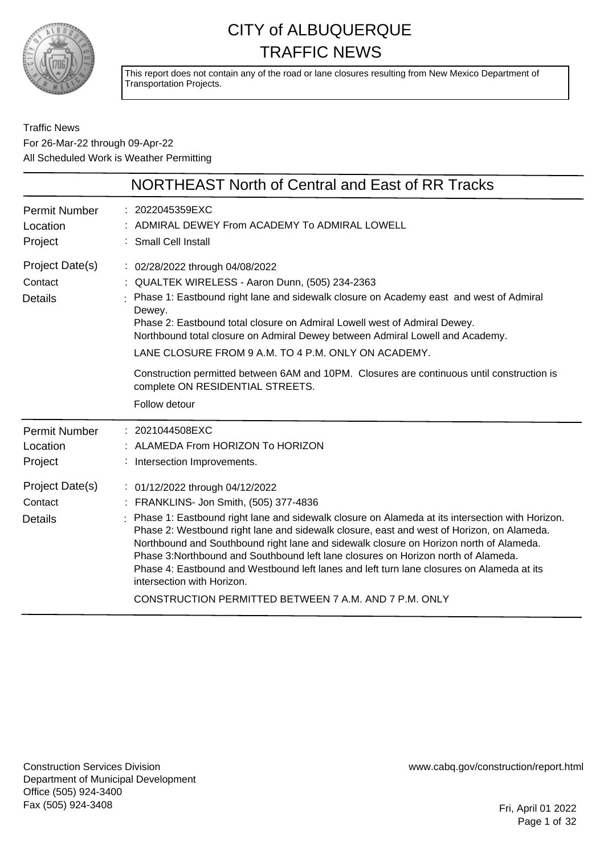

This report does not contain any of the road or lane closures resulting from New Mexico Department of Transportation Projects.

Traffic News For 26-Mar-22 through 09-Apr-22 All Scheduled Work is Weather Permitting

|                                              | <b>NORTHEAST North of Central and East of RR Tracks</b>                                                                                                                                                                                                                                                                                                                                                                                                                                                                                                                                                                                        |
|----------------------------------------------|------------------------------------------------------------------------------------------------------------------------------------------------------------------------------------------------------------------------------------------------------------------------------------------------------------------------------------------------------------------------------------------------------------------------------------------------------------------------------------------------------------------------------------------------------------------------------------------------------------------------------------------------|
| <b>Permit Number</b><br>Location<br>Project  | : 2022045359EXC<br>: ADMIRAL DEWEY From ACADEMY To ADMIRAL LOWELL<br>: Small Cell Install                                                                                                                                                                                                                                                                                                                                                                                                                                                                                                                                                      |
| Project Date(s)<br>Contact<br><b>Details</b> | : 02/28/2022 through 04/08/2022<br>: QUALTEK WIRELESS - Aaron Dunn, (505) 234-2363<br>: Phase 1: Eastbound right lane and sidewalk closure on Academy east and west of Admiral<br>Dewey.<br>Phase 2: Eastbound total closure on Admiral Lowell west of Admiral Dewey.<br>Northbound total closure on Admiral Dewey between Admiral Lowell and Academy.<br>LANE CLOSURE FROM 9 A.M. TO 4 P.M. ONLY ON ACADEMY.<br>Construction permitted between 6AM and 10PM. Closures are continuous until construction is<br>complete ON RESIDENTIAL STREETS.<br>Follow detour                                                                               |
| <b>Permit Number</b><br>Location<br>Project  | $: 2021044508$ EXC<br>: ALAMEDA From HORIZON To HORIZON<br>Intersection Improvements.                                                                                                                                                                                                                                                                                                                                                                                                                                                                                                                                                          |
| Project Date(s)<br>Contact<br><b>Details</b> | : 01/12/2022 through 04/12/2022<br>: FRANKLINS- Jon Smith, (505) 377-4836<br>: Phase 1: Eastbound right lane and sidewalk closure on Alameda at its intersection with Horizon.<br>Phase 2: Westbound right lane and sidewalk closure, east and west of Horizon, on Alameda.<br>Northbound and Southbound right lane and sidewalk closure on Horizon north of Alameda.<br>Phase 3:Northbound and Southbound left lane closures on Horizon north of Alameda.<br>Phase 4: Eastbound and Westbound left lanes and left turn lane closures on Alameda at its<br>intersection with Horizon.<br>CONSTRUCTION PERMITTED BETWEEN 7 A.M. AND 7 P.M. ONLY |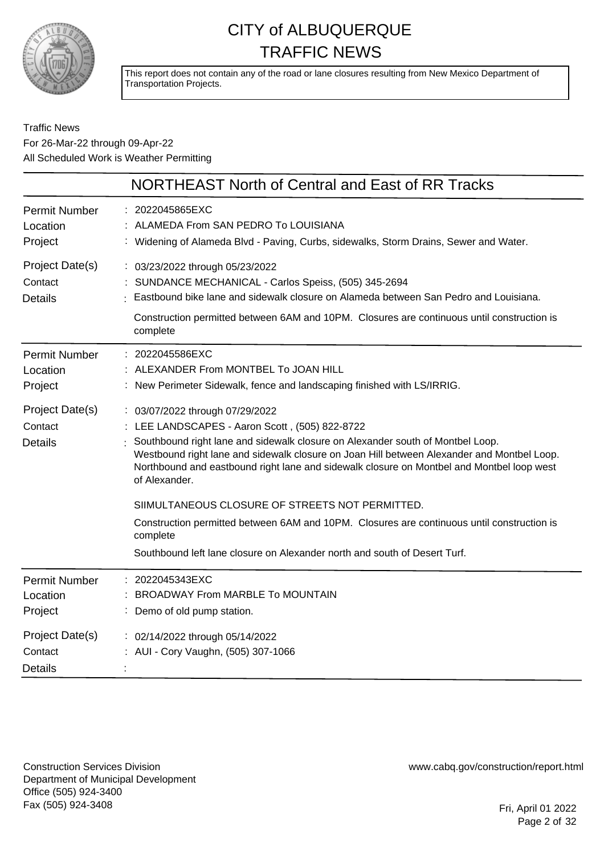

This report does not contain any of the road or lane closures resulting from New Mexico Department of Transportation Projects.

#### Traffic News For 26-Mar-22 through 09-Apr-22 All Scheduled Work is Weather Permitting

|                                              | NORTHEAST North of Central and East of RR Tracks                                                                                                                                                                                                                                                                                                                                                                                                                                                                                                                                                                          |
|----------------------------------------------|---------------------------------------------------------------------------------------------------------------------------------------------------------------------------------------------------------------------------------------------------------------------------------------------------------------------------------------------------------------------------------------------------------------------------------------------------------------------------------------------------------------------------------------------------------------------------------------------------------------------------|
| <b>Permit Number</b><br>Location<br>Project  | : 2022045865EXC<br>: ALAMEDA From SAN PEDRO To LOUISIANA<br>: Widening of Alameda Blvd - Paving, Curbs, sidewalks, Storm Drains, Sewer and Water.                                                                                                                                                                                                                                                                                                                                                                                                                                                                         |
| Project Date(s)<br>Contact<br><b>Details</b> | : 03/23/2022 through 05/23/2022<br>: SUNDANCE MECHANICAL - Carlos Speiss, (505) 345-2694<br>Eastbound bike lane and sidewalk closure on Alameda between San Pedro and Louisiana.<br>Construction permitted between 6AM and 10PM. Closures are continuous until construction is<br>complete                                                                                                                                                                                                                                                                                                                                |
| <b>Permit Number</b><br>Location<br>Project  | : 2022045586EXC<br>ALEXANDER From MONTBEL To JOAN HILL<br>: New Perimeter Sidewalk, fence and landscaping finished with LS/IRRIG.                                                                                                                                                                                                                                                                                                                                                                                                                                                                                         |
| Project Date(s)<br>Contact<br>Details        | : 03/07/2022 through 07/29/2022<br>: LEE LANDSCAPES - Aaron Scott, (505) 822-8722<br>Southbound right lane and sidewalk closure on Alexander south of Montbel Loop.<br>Westbound right lane and sidewalk closure on Joan Hill between Alexander and Montbel Loop.<br>Northbound and eastbound right lane and sidewalk closure on Montbel and Montbel loop west<br>of Alexander.<br>SIIMULTANEOUS CLOSURE OF STREETS NOT PERMITTED.<br>Construction permitted between 6AM and 10PM. Closures are continuous until construction is<br>complete<br>Southbound left lane closure on Alexander north and south of Desert Turf. |
| <b>Permit Number</b><br>Location<br>Project  | : 2022045343EXC<br><b>BROADWAY From MARBLE To MOUNTAIN</b><br>: Demo of old pump station.                                                                                                                                                                                                                                                                                                                                                                                                                                                                                                                                 |
| Project Date(s)<br>Contact<br><b>Details</b> | : 02/14/2022 through 05/14/2022<br>AUI - Cory Vaughn, (505) 307-1066                                                                                                                                                                                                                                                                                                                                                                                                                                                                                                                                                      |

Construction Services Division Department of Municipal Development Office (505) 924-3400 Fax (505) 924-3408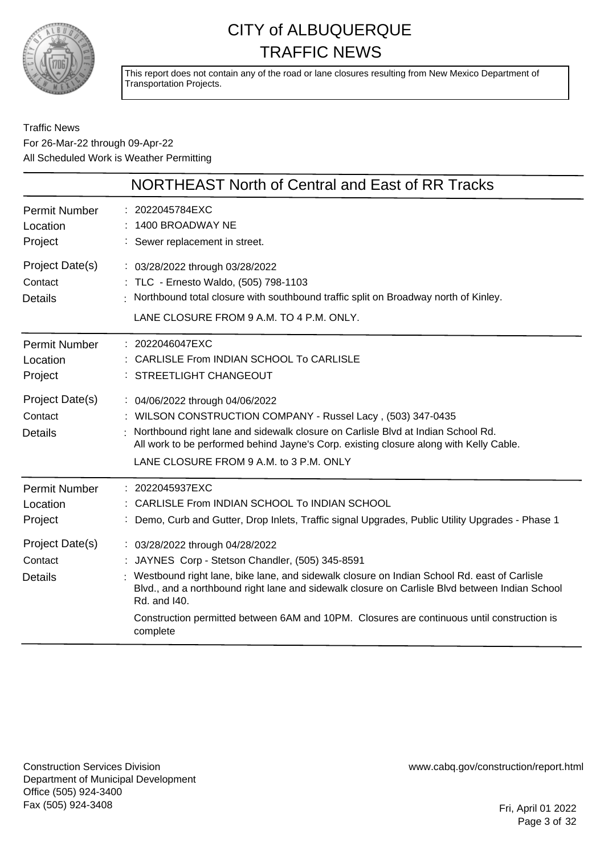

This report does not contain any of the road or lane closures resulting from New Mexico Department of Transportation Projects.

#### Traffic News For 26-Mar-22 through 09-Apr-22 All Scheduled Work is Weather Permitting

|                                              | NORTHEAST North of Central and East of RR Tracks                                                                                                                                                                                                                                                                                                                                                                 |
|----------------------------------------------|------------------------------------------------------------------------------------------------------------------------------------------------------------------------------------------------------------------------------------------------------------------------------------------------------------------------------------------------------------------------------------------------------------------|
| <b>Permit Number</b><br>Location<br>Project  | : 2022045784EXC<br>1400 BROADWAY NE<br>: Sewer replacement in street.                                                                                                                                                                                                                                                                                                                                            |
| Project Date(s)<br>Contact<br><b>Details</b> | : 03/28/2022 through 03/28/2022<br>: TLC - Ernesto Waldo, (505) 798-1103<br>: Northbound total closure with southbound traffic split on Broadway north of Kinley.<br>LANE CLOSURE FROM 9 A.M. TO 4 P.M. ONLY.                                                                                                                                                                                                    |
| <b>Permit Number</b><br>Location<br>Project  | $: 2022046047$ EXC<br>: CARLISLE From INDIAN SCHOOL To CARLISLE<br>: STREETLIGHT CHANGEOUT                                                                                                                                                                                                                                                                                                                       |
| Project Date(s)<br>Contact<br><b>Details</b> | : 04/06/2022 through 04/06/2022<br>: WILSON CONSTRUCTION COMPANY - Russel Lacy, (503) 347-0435<br>Northbound right lane and sidewalk closure on Carlisle Blvd at Indian School Rd.<br>All work to be performed behind Jayne's Corp. existing closure along with Kelly Cable.<br>LANE CLOSURE FROM 9 A.M. to 3 P.M. ONLY                                                                                          |
| <b>Permit Number</b><br>Location<br>Project  | : 2022045937EXC<br>: CARLISLE From INDIAN SCHOOL To INDIAN SCHOOL<br>: Demo, Curb and Gutter, Drop Inlets, Traffic signal Upgrades, Public Utility Upgrades - Phase 1                                                                                                                                                                                                                                            |
| Project Date(s)<br>Contact<br><b>Details</b> | : 03/28/2022 through 04/28/2022<br>: JAYNES Corp - Stetson Chandler, (505) 345-8591<br>: Westbound right lane, bike lane, and sidewalk closure on Indian School Rd. east of Carlisle<br>Blvd., and a northbound right lane and sidewalk closure on Carlisle Blvd between Indian School<br>Rd. and I40.<br>Construction permitted between 6AM and 10PM. Closures are continuous until construction is<br>complete |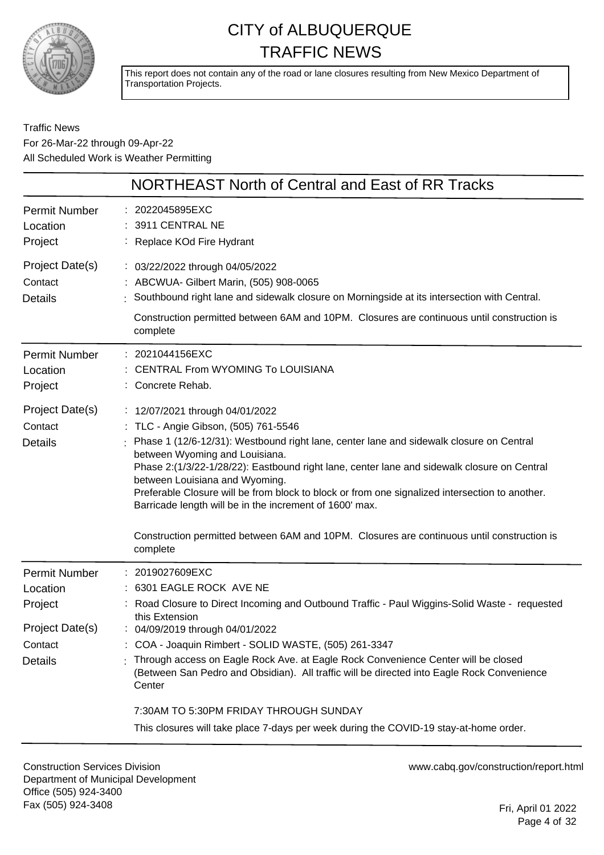

This report does not contain any of the road or lane closures resulting from New Mexico Department of Transportation Projects.

Traffic News For 26-Mar-22 through 09-Apr-22 All Scheduled Work is Weather Permitting

|                                                                                             | NORTHEAST North of Central and East of RR Tracks                                                                                                                                                                                                                                                                                                                                                                                                                                                                                                                                                               |
|---------------------------------------------------------------------------------------------|----------------------------------------------------------------------------------------------------------------------------------------------------------------------------------------------------------------------------------------------------------------------------------------------------------------------------------------------------------------------------------------------------------------------------------------------------------------------------------------------------------------------------------------------------------------------------------------------------------------|
| <b>Permit Number</b><br>Location<br>Project                                                 | : 2022045895EXC<br>: 3911 CENTRAL NE<br>: Replace KOd Fire Hydrant                                                                                                                                                                                                                                                                                                                                                                                                                                                                                                                                             |
| Project Date(s)<br>Contact<br><b>Details</b>                                                | : 03/22/2022 through 04/05/2022<br>: ABCWUA- Gilbert Marin, (505) 908-0065<br>Southbound right lane and sidewalk closure on Morningside at its intersection with Central.<br>Construction permitted between 6AM and 10PM. Closures are continuous until construction is<br>complete                                                                                                                                                                                                                                                                                                                            |
| <b>Permit Number</b><br>Location<br>Project                                                 | : 2021044156EXC<br><b>CENTRAL From WYOMING To LOUISIANA</b><br>: Concrete Rehab.                                                                                                                                                                                                                                                                                                                                                                                                                                                                                                                               |
| Project Date(s)<br>Contact<br><b>Details</b>                                                | : 12/07/2021 through 04/01/2022<br>: TLC - Angie Gibson, (505) 761-5546<br>: Phase 1 (12/6-12/31): Westbound right lane, center lane and sidewalk closure on Central<br>between Wyoming and Louisiana.<br>Phase 2:(1/3/22-1/28/22): Eastbound right lane, center lane and sidewalk closure on Central<br>between Louisiana and Wyoming.<br>Preferable Closure will be from block to block or from one signalized intersection to another.<br>Barricade length will be in the increment of 1600' max.<br>Construction permitted between 6AM and 10PM. Closures are continuous until construction is<br>complete |
| <b>Permit Number</b><br>Location<br>Project<br>Project Date(s)<br>Contact<br><b>Details</b> | : 2019027609EXC<br>: 6301 EAGLE ROCK AVE NE<br>Road Closure to Direct Incoming and Outbound Traffic - Paul Wiggins-Solid Waste - requested<br>this Extension<br>04/09/2019 through 04/01/2022<br>: COA - Joaquin Rimbert - SOLID WASTE, (505) 261-3347<br>: Through access on Eagle Rock Ave. at Eagle Rock Convenience Center will be closed<br>(Between San Pedro and Obsidian). All traffic will be directed into Eagle Rock Convenience<br>Center<br>7:30AM TO 5:30PM FRIDAY THROUGH SUNDAY<br>This closures will take place 7-days per week during the COVID-19 stay-at-home order.                       |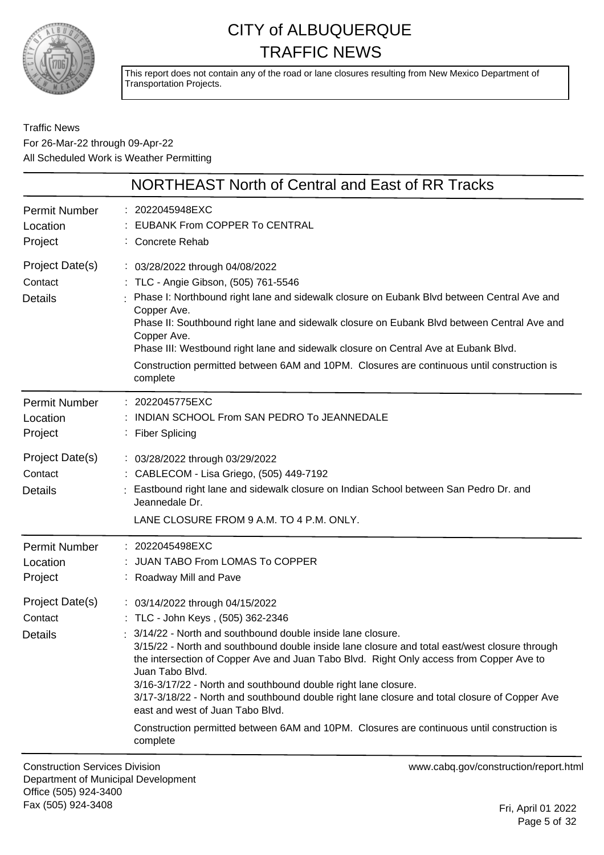

This report does not contain any of the road or lane closures resulting from New Mexico Department of Transportation Projects.

#### Traffic News For 26-Mar-22 through 09-Apr-22 All Scheduled Work is Weather Permitting

|                                              | NORTHEAST North of Central and East of RR Tracks                                                                                                                                                                                                                                                                                                                                                                                                                                                                                                                                                                                                                   |
|----------------------------------------------|--------------------------------------------------------------------------------------------------------------------------------------------------------------------------------------------------------------------------------------------------------------------------------------------------------------------------------------------------------------------------------------------------------------------------------------------------------------------------------------------------------------------------------------------------------------------------------------------------------------------------------------------------------------------|
| <b>Permit Number</b><br>Location<br>Project  | : 2022045948EXC<br>EUBANK From COPPER To CENTRAL<br>: Concrete Rehab                                                                                                                                                                                                                                                                                                                                                                                                                                                                                                                                                                                               |
| Project Date(s)<br>Contact<br><b>Details</b> | : 03/28/2022 through 04/08/2022<br>: TLC - Angie Gibson, (505) 761-5546<br>Phase I: Northbound right lane and sidewalk closure on Eubank Blvd between Central Ave and<br>Copper Ave.<br>Phase II: Southbound right lane and sidewalk closure on Eubank Blvd between Central Ave and<br>Copper Ave.<br>Phase III: Westbound right lane and sidewalk closure on Central Ave at Eubank Blvd.<br>Construction permitted between 6AM and 10PM. Closures are continuous until construction is<br>complete                                                                                                                                                                |
| <b>Permit Number</b><br>Location<br>Project  | : 2022045775EXC<br>: INDIAN SCHOOL From SAN PEDRO To JEANNEDALE<br>: Fiber Splicing                                                                                                                                                                                                                                                                                                                                                                                                                                                                                                                                                                                |
| Project Date(s)<br>Contact<br><b>Details</b> | : 03/28/2022 through 03/29/2022<br>: CABLECOM - Lisa Griego, (505) 449-7192<br>: Eastbound right lane and sidewalk closure on Indian School between San Pedro Dr. and<br>Jeannedale Dr.<br>LANE CLOSURE FROM 9 A.M. TO 4 P.M. ONLY.                                                                                                                                                                                                                                                                                                                                                                                                                                |
| <b>Permit Number</b><br>Location<br>Project  | : 2022045498EXC<br>: JUAN TABO From LOMAS To COPPER<br>: Roadway Mill and Pave                                                                                                                                                                                                                                                                                                                                                                                                                                                                                                                                                                                     |
| Project Date(s)<br>Contact<br><b>Details</b> | : 03/14/2022 through 04/15/2022<br>: TLC - John Keys, (505) 362-2346<br>3/14/22 - North and southbound double inside lane closure.<br>3/15/22 - North and southbound double inside lane closure and total east/west closure through<br>the intersection of Copper Ave and Juan Tabo Blvd. Right Only access from Copper Ave to<br>Juan Tabo Blvd.<br>3/16-3/17/22 - North and southbound double right lane closure.<br>3/17-3/18/22 - North and southbound double right lane closure and total closure of Copper Ave<br>east and west of Juan Tabo Blvd.<br>Construction permitted between 6AM and 10PM. Closures are continuous until construction is<br>complete |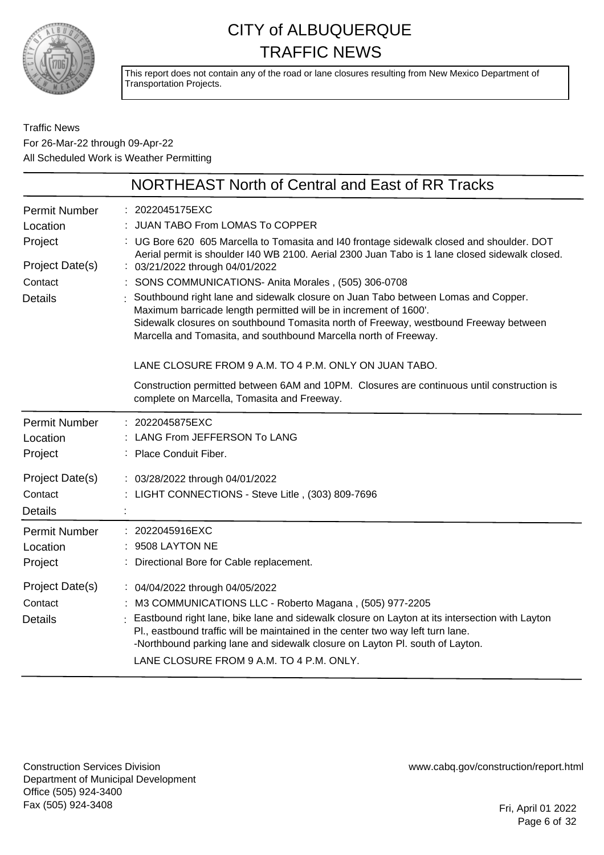

This report does not contain any of the road or lane closures resulting from New Mexico Department of Transportation Projects.

#### Traffic News For 26-Mar-22 through 09-Apr-22 All Scheduled Work is Weather Permitting

|                                             | NORTHEAST North of Central and East of RR Tracks                                                                                                                                                                                                                  |
|---------------------------------------------|-------------------------------------------------------------------------------------------------------------------------------------------------------------------------------------------------------------------------------------------------------------------|
| <b>Permit Number</b><br>Location<br>Project | : 2022045175EXC<br>: JUAN TABO From LOMAS To COPPER<br>: UG Bore 620 605 Marcella to Tomasita and I40 frontage sidewalk closed and shoulder. DOT                                                                                                                  |
| Project Date(s)                             | Aerial permit is shoulder I40 WB 2100. Aerial 2300 Juan Tabo is 1 lane closed sidewalk closed.<br>: 03/21/2022 through 04/01/2022                                                                                                                                 |
| Contact                                     | SONS COMMUNICATIONS- Anita Morales, (505) 306-0708                                                                                                                                                                                                                |
| <b>Details</b>                              | Southbound right lane and sidewalk closure on Juan Tabo between Lomas and Copper.<br>Maximum barricade length permitted will be in increment of 1600'.                                                                                                            |
|                                             | Sidewalk closures on southbound Tomasita north of Freeway, westbound Freeway between<br>Marcella and Tomasita, and southbound Marcella north of Freeway.                                                                                                          |
|                                             | LANE CLOSURE FROM 9 A.M. TO 4 P.M. ONLY ON JUAN TABO.                                                                                                                                                                                                             |
|                                             | Construction permitted between 6AM and 10PM. Closures are continuous until construction is<br>complete on Marcella, Tomasita and Freeway.                                                                                                                         |
| <b>Permit Number</b>                        | : 2022045875EXC                                                                                                                                                                                                                                                   |
| Location                                    | LANG From JEFFERSON To LANG                                                                                                                                                                                                                                       |
| Project                                     | : Place Conduit Fiber.                                                                                                                                                                                                                                            |
| Project Date(s)                             | : 03/28/2022 through 04/01/2022                                                                                                                                                                                                                                   |
| Contact                                     | : LIGHT CONNECTIONS - Steve Litle, (303) 809-7696                                                                                                                                                                                                                 |
| <b>Details</b>                              |                                                                                                                                                                                                                                                                   |
| <b>Permit Number</b>                        | 2022045916EXC                                                                                                                                                                                                                                                     |
| Location                                    | 9508 LAYTON NE                                                                                                                                                                                                                                                    |
| Project                                     | Directional Bore for Cable replacement.                                                                                                                                                                                                                           |
| Project Date(s)                             | : 04/04/2022 through 04/05/2022                                                                                                                                                                                                                                   |
| Contact                                     | M3 COMMUNICATIONS LLC - Roberto Magana, (505) 977-2205                                                                                                                                                                                                            |
| <b>Details</b>                              | Eastbound right lane, bike lane and sidewalk closure on Layton at its intersection with Layton<br>Pl., eastbound traffic will be maintained in the center two way left turn lane.<br>-Northbound parking lane and sidewalk closure on Layton PI. south of Layton. |
|                                             | LANE CLOSURE FROM 9 A.M. TO 4 P.M. ONLY.                                                                                                                                                                                                                          |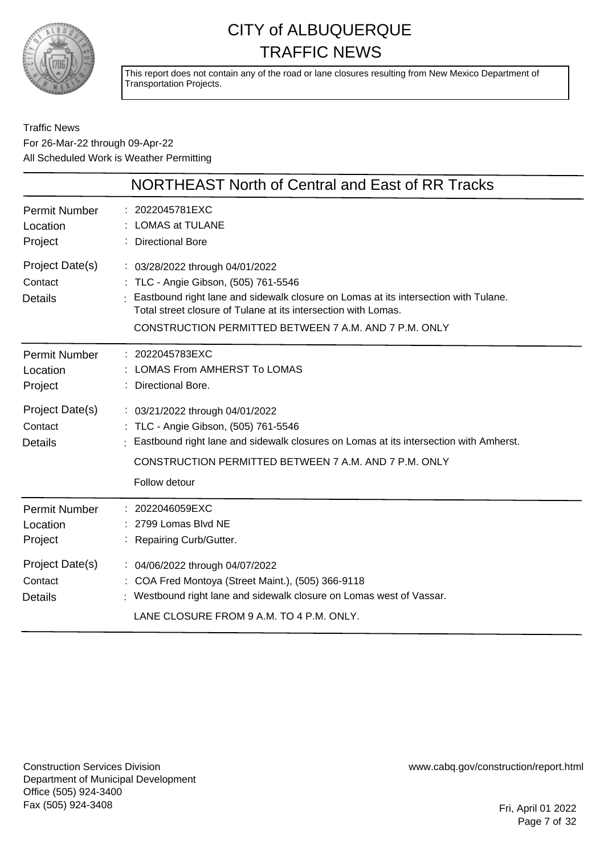

This report does not contain any of the road or lane closures resulting from New Mexico Department of Transportation Projects.

#### Traffic News For 26-Mar-22 through 09-Apr-22 All Scheduled Work is Weather Permitting

|                                              | NORTHEAST North of Central and East of RR Tracks                                                                                                                                                                                                                                            |
|----------------------------------------------|---------------------------------------------------------------------------------------------------------------------------------------------------------------------------------------------------------------------------------------------------------------------------------------------|
| <b>Permit Number</b><br>Location<br>Project  | : 2022045781EXC<br><b>LOMAS at TULANE</b><br><b>Directional Bore</b>                                                                                                                                                                                                                        |
| Project Date(s)<br>Contact<br><b>Details</b> | : 03/28/2022 through 04/01/2022<br>: TLC - Angie Gibson, (505) 761-5546<br>: Eastbound right lane and sidewalk closure on Lomas at its intersection with Tulane.<br>Total street closure of Tulane at its intersection with Lomas.<br>CONSTRUCTION PERMITTED BETWEEN 7 A.M. AND 7 P.M. ONLY |
| <b>Permit Number</b><br>Location<br>Project  | : 2022045783EXC<br>LOMAS From AMHERST To LOMAS<br>Directional Bore.                                                                                                                                                                                                                         |
| Project Date(s)<br>Contact<br><b>Details</b> | : 03/21/2022 through 04/01/2022<br>: TLC - Angie Gibson, (505) 761-5546<br>Eastbound right lane and sidewalk closures on Lomas at its intersection with Amherst.<br>CONSTRUCTION PERMITTED BETWEEN 7 A.M. AND 7 P.M. ONLY<br>Follow detour                                                  |
| <b>Permit Number</b><br>Location<br>Project  | : 2022046059EXC<br>2799 Lomas Blvd NE<br>Repairing Curb/Gutter.                                                                                                                                                                                                                             |
| Project Date(s)<br>Contact<br><b>Details</b> | : 04/06/2022 through 04/07/2022<br>: COA Fred Montoya (Street Maint.), (505) 366-9118<br>: Westbound right lane and sidewalk closure on Lomas west of Vassar.<br>LANE CLOSURE FROM 9 A.M. TO 4 P.M. ONLY.                                                                                   |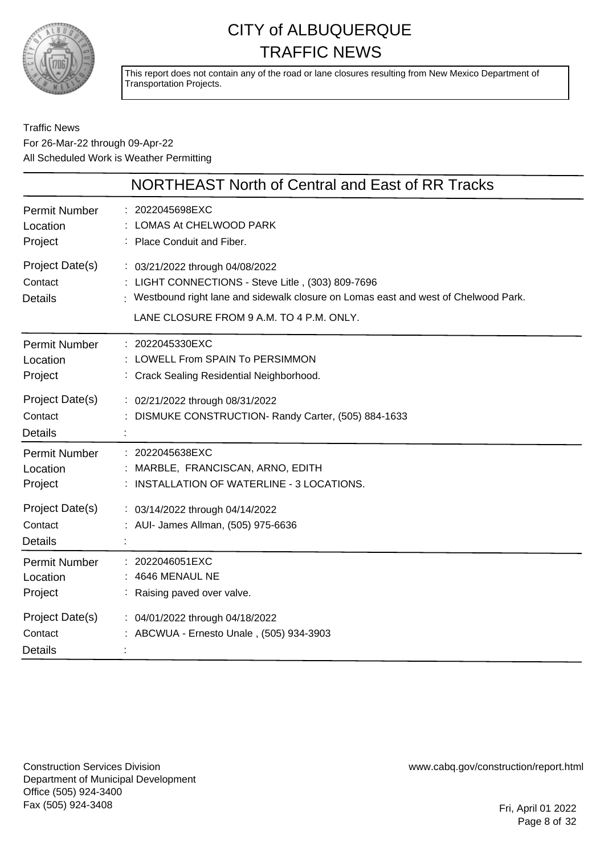

This report does not contain any of the road or lane closures resulting from New Mexico Department of Transportation Projects.

#### Traffic News For 26-Mar-22 through 09-Apr-22 All Scheduled Work is Weather Permitting

|                                              | NORTHEAST North of Central and East of RR Tracks                                                                                                                                                                         |
|----------------------------------------------|--------------------------------------------------------------------------------------------------------------------------------------------------------------------------------------------------------------------------|
| Permit Number<br>Location<br>Project         | : 2022045698EXC<br>LOMAS At CHELWOOD PARK<br>: Place Conduit and Fiber.                                                                                                                                                  |
| Project Date(s)<br>Contact<br><b>Details</b> | : 03/21/2022 through 04/08/2022<br>: LIGHT CONNECTIONS - Steve Litle, (303) 809-7696<br>: Westbound right lane and sidewalk closure on Lomas east and west of Chelwood Park.<br>LANE CLOSURE FROM 9 A.M. TO 4 P.M. ONLY. |
| Permit Number<br>Location<br>Project         | : 2022045330EXC<br>: LOWELL From SPAIN To PERSIMMON<br>: Crack Sealing Residential Neighborhood.                                                                                                                         |
| Project Date(s)<br>Contact<br><b>Details</b> | : 02/21/2022 through 08/31/2022<br>DISMUKE CONSTRUCTION- Randy Carter, (505) 884-1633                                                                                                                                    |
| Permit Number<br>Location<br>Project         | : 2022045638EXC<br>MARBLE, FRANCISCAN, ARNO, EDITH<br>: INSTALLATION OF WATERLINE - 3 LOCATIONS.                                                                                                                         |
| Project Date(s)<br>Contact<br><b>Details</b> | : 03/14/2022 through 04/14/2022<br>: AUI- James Allman, (505) 975-6636                                                                                                                                                   |
| Permit Number<br>Location<br>Project         | : 2022046051EXC<br>: 4646 MENAUL NE<br>: Raising paved over valve.                                                                                                                                                       |
| Project Date(s)<br>Contact<br><b>Details</b> | : 04/01/2022 through 04/18/2022<br>: ABCWUA - Ernesto Unale, (505) 934-3903                                                                                                                                              |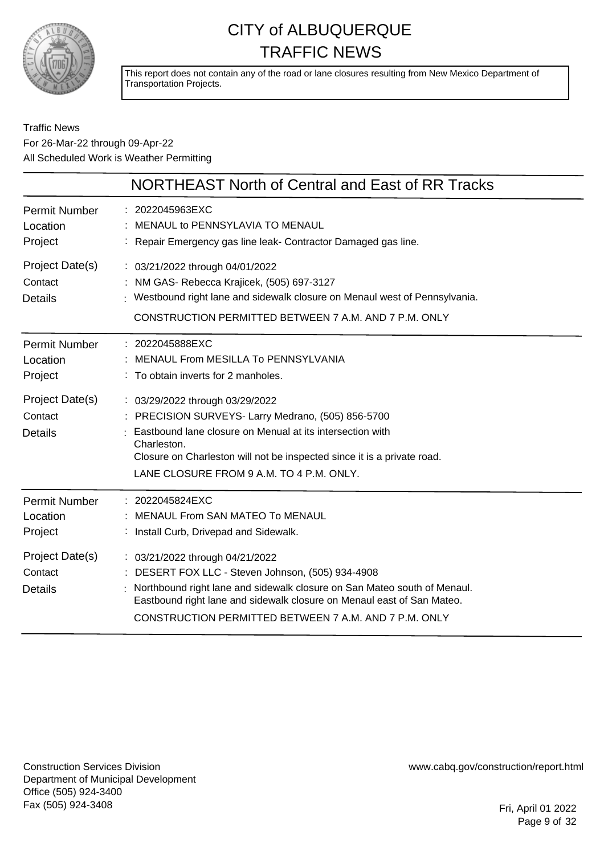

This report does not contain any of the road or lane closures resulting from New Mexico Department of Transportation Projects.

#### Traffic News For 26-Mar-22 through 09-Apr-22 All Scheduled Work is Weather Permitting

|                                                                                             | NORTHEAST North of Central and East of RR Tracks                                                                                                                                                                                                                                                                                                                                          |
|---------------------------------------------------------------------------------------------|-------------------------------------------------------------------------------------------------------------------------------------------------------------------------------------------------------------------------------------------------------------------------------------------------------------------------------------------------------------------------------------------|
| <b>Permit Number</b><br>Location<br>Project                                                 | : 2022045963EXC<br>: MENAUL to PENNSYLAVIA TO MENAUL<br>: Repair Emergency gas line leak- Contractor Damaged gas line.                                                                                                                                                                                                                                                                    |
| Project Date(s)<br>Contact<br><b>Details</b>                                                | : 03/21/2022 through 04/01/2022<br>: NM GAS- Rebecca Krajicek, (505) 697-3127<br>: Westbound right lane and sidewalk closure on Menaul west of Pennsylvania.<br>CONSTRUCTION PERMITTED BETWEEN 7 A.M. AND 7 P.M. ONLY                                                                                                                                                                     |
| <b>Permit Number</b><br>Location<br>Project<br>Project Date(s)<br>Contact<br><b>Details</b> | : 2022045888EXC<br>MENAUL From MESILLA To PENNSYLVANIA<br>: To obtain inverts for 2 manholes.<br>: 03/29/2022 through 03/29/2022<br>: PRECISION SURVEYS- Larry Medrano, (505) 856-5700<br>Eastbound lane closure on Menual at its intersection with<br>Charleston.<br>Closure on Charleston will not be inspected since it is a private road.<br>LANE CLOSURE FROM 9 A.M. TO 4 P.M. ONLY. |
| <b>Permit Number</b><br>Location<br>Project                                                 | : 2022045824EXC<br>MENAUL From SAN MATEO To MENAUL<br>: Install Curb, Drivepad and Sidewalk.                                                                                                                                                                                                                                                                                              |
| Project Date(s)<br>Contact<br><b>Details</b>                                                | : 03/21/2022 through 04/21/2022<br>: DESERT FOX LLC - Steven Johnson, (505) 934-4908<br>: Northbound right lane and sidewalk closure on San Mateo south of Menaul.<br>Eastbound right lane and sidewalk closure on Menaul east of San Mateo.<br>CONSTRUCTION PERMITTED BETWEEN 7 A.M. AND 7 P.M. ONLY                                                                                     |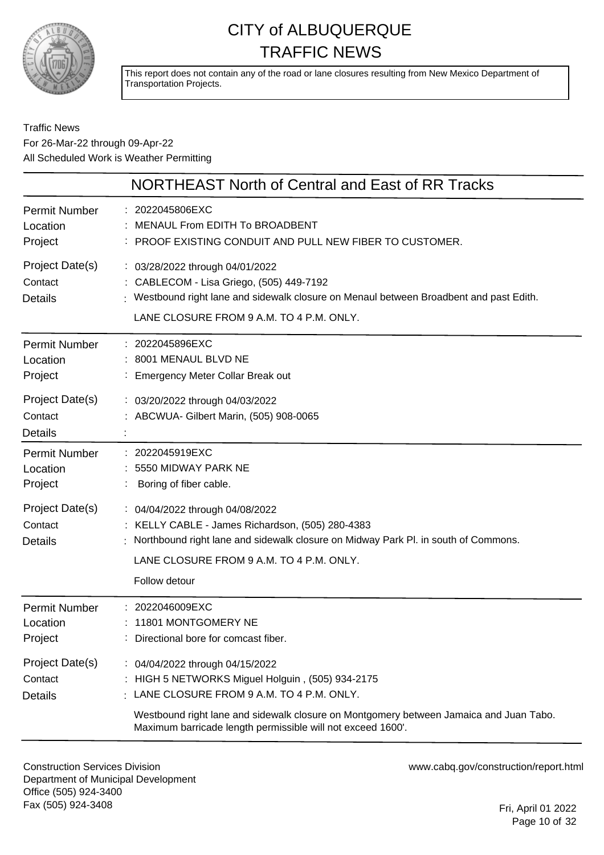

This report does not contain any of the road or lane closures resulting from New Mexico Department of Transportation Projects.

#### Traffic News For 26-Mar-22 through 09-Apr-22 All Scheduled Work is Weather Permitting

|                                              | NORTHEAST North of Central and East of RR Tracks                                                                                                                                                                                       |
|----------------------------------------------|----------------------------------------------------------------------------------------------------------------------------------------------------------------------------------------------------------------------------------------|
| Permit Number<br>Location<br>Project         | : 2022045806EXC<br>MENAUL From EDITH To BROADBENT<br>: PROOF EXISTING CONDUIT AND PULL NEW FIBER TO CUSTOMER.                                                                                                                          |
| Project Date(s)<br>Contact<br><b>Details</b> | : 03/28/2022 through 04/01/2022<br>: CABLECOM - Lisa Griego, (505) 449-7192<br>: Westbound right lane and sidewalk closure on Menaul between Broadbent and past Edith.<br>LANE CLOSURE FROM 9 A.M. TO 4 P.M. ONLY.                     |
| Permit Number<br>Location<br>Project         | : 2022045896EXC<br>8001 MENAUL BLVD NE<br>: Emergency Meter Collar Break out                                                                                                                                                           |
| Project Date(s)<br>Contact<br><b>Details</b> | : 03/20/2022 through 04/03/2022<br>: ABCWUA- Gilbert Marin, (505) 908-0065                                                                                                                                                             |
| Permit Number<br>Location<br>Project         | : 2022045919EXC<br>5550 MIDWAY PARK NE<br>Boring of fiber cable.                                                                                                                                                                       |
| Project Date(s)<br>Contact<br><b>Details</b> | : 04/04/2022 through 04/08/2022<br>: KELLY CABLE - James Richardson, (505) 280-4383<br>Northbound right lane and sidewalk closure on Midway Park Pl. in south of Commons.<br>LANE CLOSURE FROM 9 A.M. TO 4 P.M. ONLY.<br>Follow detour |
| <b>Permit Number</b><br>Location<br>Project  | : 2022046009EXC<br>: 11801 MONTGOMERY NE<br>: Directional bore for comcast fiber.                                                                                                                                                      |
| Project Date(s)<br>Contact<br><b>Details</b> | : 04/04/2022 through 04/15/2022<br>: HIGH 5 NETWORKS Miguel Holguin, (505) 934-2175<br>LANE CLOSURE FROM 9 A.M. TO 4 P.M. ONLY.<br>Westbound right lane and sidewalk closure on Montgomery between Jamaica and Juan Tabo.              |
|                                              | Maximum barricade length permissible will not exceed 1600'.                                                                                                                                                                            |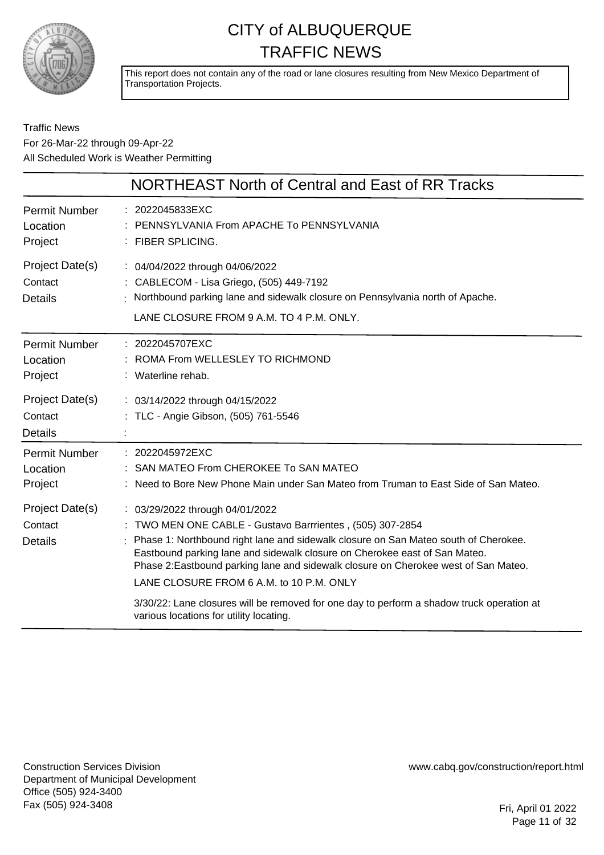

This report does not contain any of the road or lane closures resulting from New Mexico Department of Transportation Projects.

#### Traffic News For 26-Mar-22 through 09-Apr-22 All Scheduled Work is Weather Permitting

|                                              | NORTHEAST North of Central and East of RR Tracks                                                                                                                                                                                                                                                                                                                                                                                                                                                                                           |
|----------------------------------------------|--------------------------------------------------------------------------------------------------------------------------------------------------------------------------------------------------------------------------------------------------------------------------------------------------------------------------------------------------------------------------------------------------------------------------------------------------------------------------------------------------------------------------------------------|
| <b>Permit Number</b><br>Location<br>Project  | : 2022045833EXC<br>PENNSYLVANIA From APACHE To PENNSYLVANIA<br>: FIBER SPLICING.                                                                                                                                                                                                                                                                                                                                                                                                                                                           |
| Project Date(s)<br>Contact<br><b>Details</b> | : 04/04/2022 through 04/06/2022<br>: CABLECOM - Lisa Griego, (505) 449-7192<br>Northbound parking lane and sidewalk closure on Pennsylvania north of Apache.<br>LANE CLOSURE FROM 9 A.M. TO 4 P.M. ONLY.                                                                                                                                                                                                                                                                                                                                   |
| <b>Permit Number</b><br>Location<br>Project  | : 2022045707EXC<br>: ROMA From WELLESLEY TO RICHMOND<br>: Waterline rehab.                                                                                                                                                                                                                                                                                                                                                                                                                                                                 |
| Project Date(s)<br>Contact<br>Details        | : 03/14/2022 through 04/15/2022<br>: TLC - Angie Gibson, (505) 761-5546                                                                                                                                                                                                                                                                                                                                                                                                                                                                    |
| <b>Permit Number</b><br>Location<br>Project  | : 2022045972EXC<br>SAN MATEO From CHEROKEE To SAN MATEO<br>: Need to Bore New Phone Main under San Mateo from Truman to East Side of San Mateo.                                                                                                                                                                                                                                                                                                                                                                                            |
| Project Date(s)<br>Contact<br><b>Details</b> | : 03/29/2022 through 04/01/2022<br>TWO MEN ONE CABLE - Gustavo Barrrientes, (505) 307-2854<br>Phase 1: Northbound right lane and sidewalk closure on San Mateo south of Cherokee.<br>Eastbound parking lane and sidewalk closure on Cherokee east of San Mateo.<br>Phase 2: Eastbound parking lane and sidewalk closure on Cherokee west of San Mateo.<br>LANE CLOSURE FROM 6 A.M. to 10 P.M. ONLY<br>3/30/22: Lane closures will be removed for one day to perform a shadow truck operation at<br>various locations for utility locating. |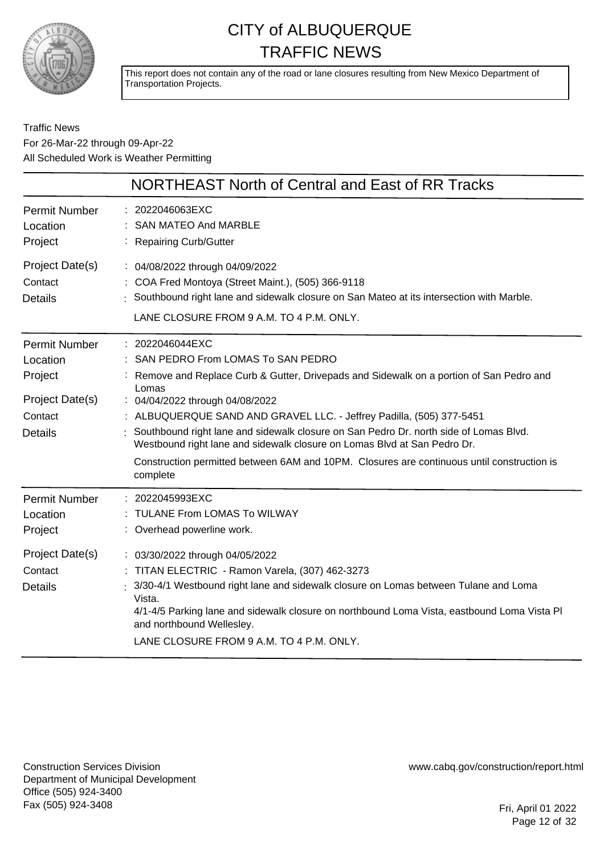

This report does not contain any of the road or lane closures resulting from New Mexico Department of Transportation Projects.

#### Traffic News For 26-Mar-22 through 09-Apr-22 All Scheduled Work is Weather Permitting

|                                                                                             | NORTHEAST North of Central and East of RR Tracks                                                                                                                                                                                                                                                                                                                                                                                                                                                                                                    |
|---------------------------------------------------------------------------------------------|-----------------------------------------------------------------------------------------------------------------------------------------------------------------------------------------------------------------------------------------------------------------------------------------------------------------------------------------------------------------------------------------------------------------------------------------------------------------------------------------------------------------------------------------------------|
| <b>Permit Number</b><br>Location<br>Project                                                 | : 2022046063EXC<br><b>SAN MATEO And MARBLE</b><br>: Repairing Curb/Gutter                                                                                                                                                                                                                                                                                                                                                                                                                                                                           |
| Project Date(s)<br>Contact<br><b>Details</b>                                                | : 04/08/2022 through 04/09/2022<br>: COA Fred Montoya (Street Maint.), (505) 366-9118<br>Southbound right lane and sidewalk closure on San Mateo at its intersection with Marble.<br>LANE CLOSURE FROM 9 A.M. TO 4 P.M. ONLY.                                                                                                                                                                                                                                                                                                                       |
| <b>Permit Number</b><br>Location<br>Project<br>Project Date(s)<br>Contact<br><b>Details</b> | : 2022046044EXC<br>: SAN PEDRO From LOMAS To SAN PEDRO<br>Remove and Replace Curb & Gutter, Drivepads and Sidewalk on a portion of San Pedro and<br>Lomas<br>: 04/04/2022 through 04/08/2022<br>: ALBUQUERQUE SAND AND GRAVEL LLC. - Jeffrey Padilla, (505) 377-5451<br>Southbound right lane and sidewalk closure on San Pedro Dr. north side of Lomas Blvd.<br>Westbound right lane and sidewalk closure on Lomas Blvd at San Pedro Dr.<br>Construction permitted between 6AM and 10PM. Closures are continuous until construction is<br>complete |
| <b>Permit Number</b><br>Location<br>Project                                                 | : 2022045993EXC<br>: TULANE From LOMAS To WILWAY<br>: Overhead powerline work.                                                                                                                                                                                                                                                                                                                                                                                                                                                                      |
| Project Date(s)<br>Contact<br><b>Details</b>                                                | : 03/30/2022 through 04/05/2022<br>: TITAN ELECTRIC - Ramon Varela, (307) 462-3273<br>: 3/30-4/1 Westbound right lane and sidewalk closure on Lomas between Tulane and Loma<br>Vista.<br>4/1-4/5 Parking lane and sidewalk closure on northbound Loma Vista, eastbound Loma Vista Pl<br>and northbound Wellesley.<br>LANE CLOSURE FROM 9 A.M. TO 4 P.M. ONLY.                                                                                                                                                                                       |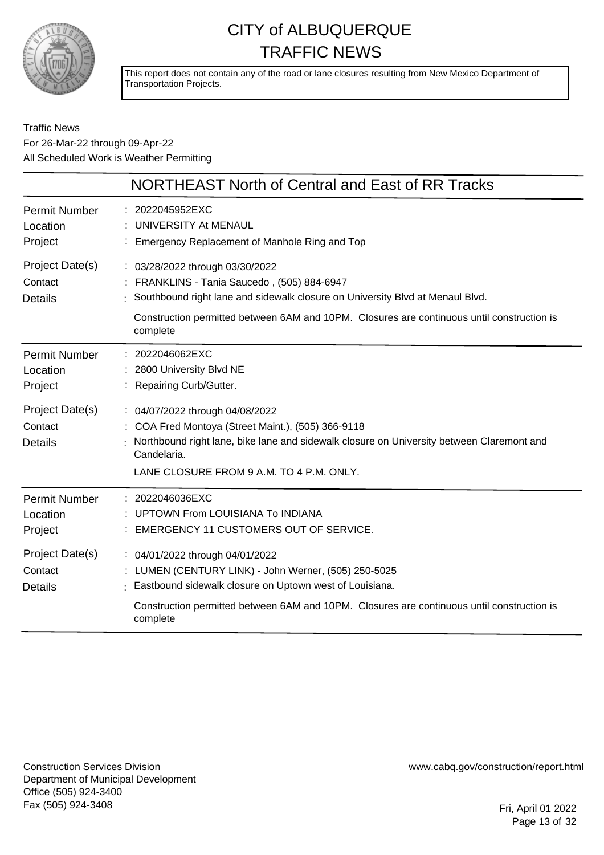

This report does not contain any of the road or lane closures resulting from New Mexico Department of Transportation Projects.

Traffic News For 26-Mar-22 through 09-Apr-22 All Scheduled Work is Weather Permitting

|                                                                                             | <b>NORTHEAST North of Central and East of RR Tracks</b>                                                                                                                                                                                                                       |
|---------------------------------------------------------------------------------------------|-------------------------------------------------------------------------------------------------------------------------------------------------------------------------------------------------------------------------------------------------------------------------------|
| <b>Permit Number</b><br>Location<br>Project                                                 | : 2022045952EXC<br>: UNIVERSITY At MENAUL<br>: Emergency Replacement of Manhole Ring and Top                                                                                                                                                                                  |
| Project Date(s)<br>Contact<br><b>Details</b>                                                | : 03/28/2022 through 03/30/2022<br>: FRANKLINS - Tania Saucedo, (505) 884-6947<br>: Southbound right lane and sidewalk closure on University Blvd at Menaul Blvd.<br>Construction permitted between 6AM and 10PM. Closures are continuous until construction is<br>complete   |
| <b>Permit Number</b><br>Location<br>Project<br>Project Date(s)<br>Contact<br><b>Details</b> | : 2022046062EXC<br>: 2800 University Blvd NE<br>: Repairing Curb/Gutter.<br>: 04/07/2022 through 04/08/2022<br>: COA Fred Montoya (Street Maint.), (505) 366-9118<br>Northbound right lane, bike lane and sidewalk closure on University between Claremont and<br>Candelaria. |
| Permit Number<br>Location<br>Project                                                        | LANE CLOSURE FROM 9 A.M. TO 4 P.M. ONLY.<br>: 2022046036EXC<br>UPTOWN From LOUISIANA To INDIANA<br>EMERGENCY 11 CUSTOMERS OUT OF SERVICE.                                                                                                                                     |
| Project Date(s)<br>Contact<br><b>Details</b>                                                | : 04/01/2022 through 04/01/2022<br>: LUMEN (CENTURY LINK) - John Werner, (505) 250-5025<br>: Eastbound sidewalk closure on Uptown west of Louisiana.<br>Construction permitted between 6AM and 10PM. Closures are continuous until construction is<br>complete                |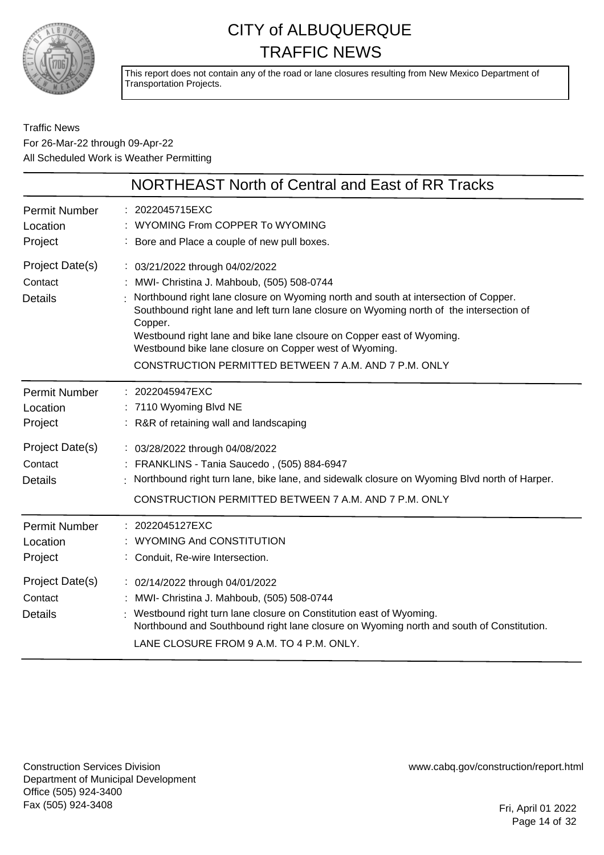

This report does not contain any of the road or lane closures resulting from New Mexico Department of Transportation Projects.

#### Traffic News For 26-Mar-22 through 09-Apr-22 All Scheduled Work is Weather Permitting

|                                              | <b>NORTHEAST North of Central and East of RR Tracks</b>                                                                                                                                                                                                                                                                                                                                                                                                                |
|----------------------------------------------|------------------------------------------------------------------------------------------------------------------------------------------------------------------------------------------------------------------------------------------------------------------------------------------------------------------------------------------------------------------------------------------------------------------------------------------------------------------------|
| <b>Permit Number</b><br>Location<br>Project  | 2022045715EXC<br>WYOMING From COPPER To WYOMING<br>Bore and Place a couple of new pull boxes.                                                                                                                                                                                                                                                                                                                                                                          |
| Project Date(s)<br>Contact<br><b>Details</b> | : 03/21/2022 through 04/02/2022<br>MWI- Christina J. Mahboub, (505) 508-0744<br>Northbound right lane closure on Wyoming north and south at intersection of Copper.<br>Southbound right lane and left turn lane closure on Wyoming north of the intersection of<br>Copper.<br>Westbound right lane and bike lane clsoure on Copper east of Wyoming.<br>Westbound bike lane closure on Copper west of Wyoming.<br>CONSTRUCTION PERMITTED BETWEEN 7 A.M. AND 7 P.M. ONLY |
| Permit Number<br>Location<br>Project         | : 2022045947EXC<br>7110 Wyoming Blvd NE<br>R&R of retaining wall and landscaping                                                                                                                                                                                                                                                                                                                                                                                       |
| Project Date(s)<br>Contact<br><b>Details</b> | : 03/28/2022 through 04/08/2022<br>FRANKLINS - Tania Saucedo, (505) 884-6947<br>Northbound right turn lane, bike lane, and sidewalk closure on Wyoming Blvd north of Harper.<br>CONSTRUCTION PERMITTED BETWEEN 7 A.M. AND 7 P.M. ONLY                                                                                                                                                                                                                                  |
| Permit Number<br>Location<br>Project         | : 2022045127EXC<br>WYOMING And CONSTITUTION<br>Conduit, Re-wire Intersection.                                                                                                                                                                                                                                                                                                                                                                                          |
| Project Date(s)<br>Contact<br><b>Details</b> | : 02/14/2022 through 04/01/2022<br>MWI- Christina J. Mahboub, (505) 508-0744<br>Westbound right turn lane closure on Constitution east of Wyoming.<br>Northbound and Southbound right lane closure on Wyoming north and south of Constitution.<br>LANE CLOSURE FROM 9 A.M. TO 4 P.M. ONLY.                                                                                                                                                                             |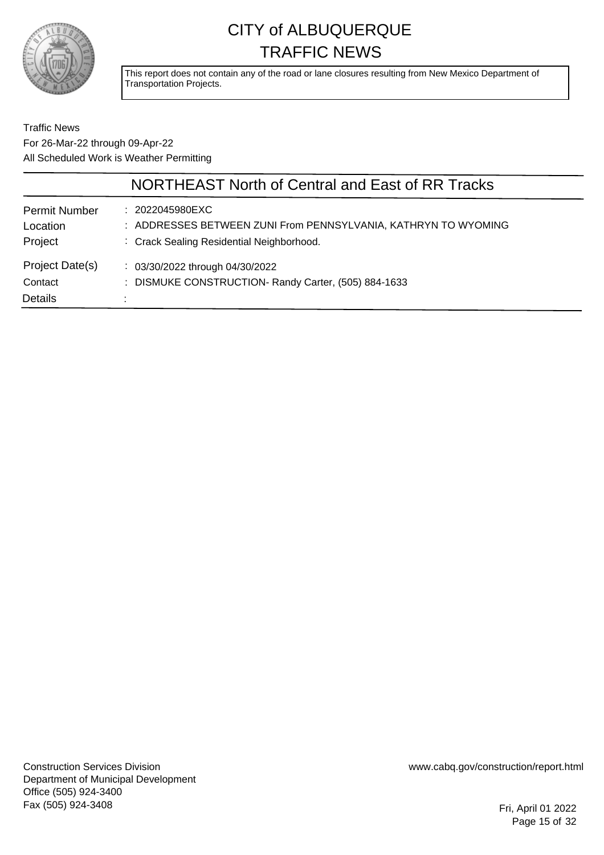

This report does not contain any of the road or lane closures resulting from New Mexico Department of Transportation Projects.

#### Traffic News For 26-Mar-22 through 09-Apr-22 All Scheduled Work is Weather Permitting

|                                              | NORTHEAST North of Central and East of RR Tracks                                                                               |  |
|----------------------------------------------|--------------------------------------------------------------------------------------------------------------------------------|--|
| <b>Permit Number</b><br>Location<br>Project  | : 2022045980EXC<br>: ADDRESSES BETWEEN ZUNI From PENNSYLVANIA, KATHRYN TO WYOMING<br>: Crack Sealing Residential Neighborhood. |  |
| Project Date(s)<br>Contact<br><b>Details</b> | $\frac{1}{2}$ 03/30/2022 through 04/30/2022<br>: DISMUKE CONSTRUCTION- Randy Carter, (505) 884-1633                            |  |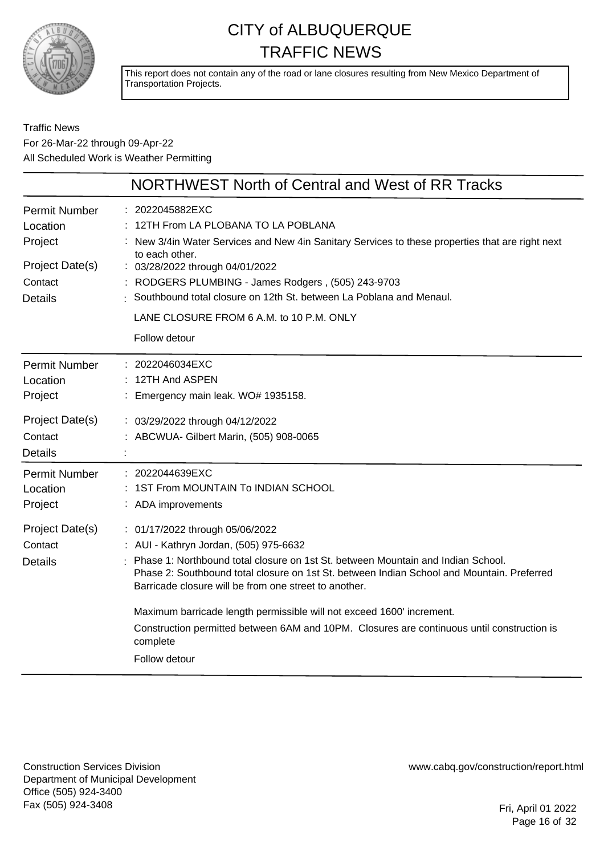

This report does not contain any of the road or lane closures resulting from New Mexico Department of Transportation Projects.

#### Traffic News For 26-Mar-22 through 09-Apr-22 All Scheduled Work is Weather Permitting

|                                                                                             | NORTHWEST North of Central and West of RR Tracks                                                                                                                                                                                                                                                                                                                                                                                                                                                                         |
|---------------------------------------------------------------------------------------------|--------------------------------------------------------------------------------------------------------------------------------------------------------------------------------------------------------------------------------------------------------------------------------------------------------------------------------------------------------------------------------------------------------------------------------------------------------------------------------------------------------------------------|
| <b>Permit Number</b><br>Location<br>Project<br>Project Date(s)<br>Contact<br><b>Details</b> | : 2022045882EXC<br>12TH From LA PLOBANA TO LA POBLANA<br>New 3/4in Water Services and New 4in Sanitary Services to these properties that are right next<br>to each other.<br>: 03/28/2022 through 04/01/2022<br>RODGERS PLUMBING - James Rodgers, (505) 243-9703<br>Southbound total closure on 12th St. between La Poblana and Menaul.<br>LANE CLOSURE FROM 6 A.M. to 10 P.M. ONLY                                                                                                                                      |
|                                                                                             | Follow detour                                                                                                                                                                                                                                                                                                                                                                                                                                                                                                            |
| <b>Permit Number</b><br>Location<br>Project                                                 | : 2022046034EXC<br>$: 12TH$ And ASPEN<br>: Emergency main leak. WO# 1935158.                                                                                                                                                                                                                                                                                                                                                                                                                                             |
| Project Date(s)<br>Contact<br><b>Details</b>                                                | : 03/29/2022 through 04/12/2022<br>: ABCWUA- Gilbert Marin, (505) 908-0065                                                                                                                                                                                                                                                                                                                                                                                                                                               |
| Permit Number<br>Location<br>Project                                                        | : 2022044639EXC<br>1ST From MOUNTAIN To INDIAN SCHOOL<br>: ADA improvements                                                                                                                                                                                                                                                                                                                                                                                                                                              |
| Project Date(s)<br>Contact<br><b>Details</b>                                                | : 01/17/2022 through 05/06/2022<br>: AUI - Kathryn Jordan, (505) 975-6632<br>Phase 1: Northbound total closure on 1st St. between Mountain and Indian School.<br>Phase 2: Southbound total closure on 1st St. between Indian School and Mountain. Preferred<br>Barricade closure will be from one street to another.<br>Maximum barricade length permissible will not exceed 1600' increment.<br>Construction permitted between 6AM and 10PM. Closures are continuous until construction is<br>complete<br>Follow detour |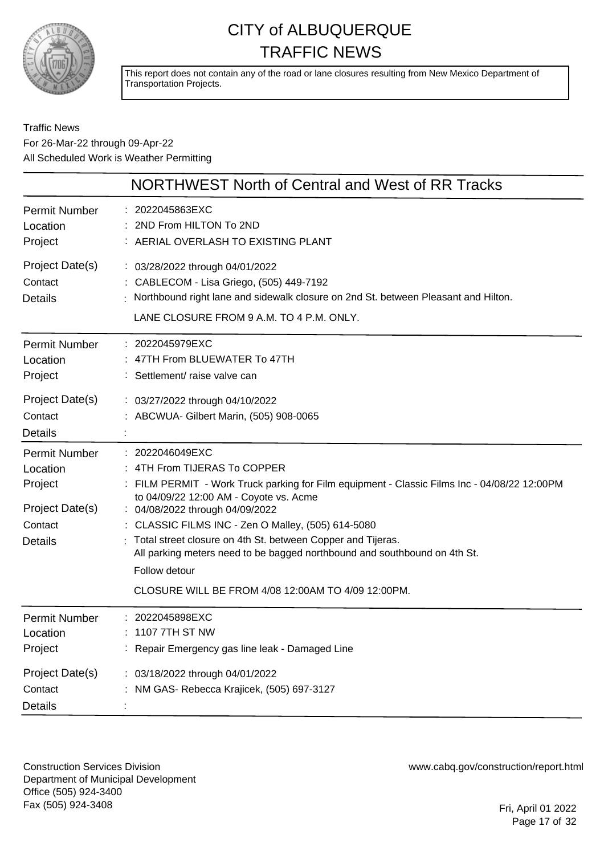

This report does not contain any of the road or lane closures resulting from New Mexico Department of Transportation Projects.

#### Traffic News For 26-Mar-22 through 09-Apr-22 All Scheduled Work is Weather Permitting

|                                                                                             | NORTHWEST North of Central and West of RR Tracks                                                                                                                                                                                                                                                                                                                                                                                                                                                      |
|---------------------------------------------------------------------------------------------|-------------------------------------------------------------------------------------------------------------------------------------------------------------------------------------------------------------------------------------------------------------------------------------------------------------------------------------------------------------------------------------------------------------------------------------------------------------------------------------------------------|
| <b>Permit Number</b><br>Location<br>Project                                                 | : 2022045863EXC<br>2ND From HILTON To 2ND<br>: AERIAL OVERLASH TO EXISTING PLANT                                                                                                                                                                                                                                                                                                                                                                                                                      |
| Project Date(s)<br>Contact<br><b>Details</b>                                                | : 03/28/2022 through 04/01/2022<br>: CABLECOM - Lisa Griego, (505) 449-7192<br>: Northbound right lane and sidewalk closure on 2nd St. between Pleasant and Hilton.<br>LANE CLOSURE FROM 9 A.M. TO 4 P.M. ONLY.                                                                                                                                                                                                                                                                                       |
| Permit Number<br>Location<br>Project                                                        | : 2022045979EXC<br>: 47TH From BLUEWATER To 47TH<br>: Settlement/ raise valve can                                                                                                                                                                                                                                                                                                                                                                                                                     |
| Project Date(s)<br>Contact<br><b>Details</b>                                                | : 03/27/2022 through 04/10/2022<br>: ABCWUA- Gilbert Marin, (505) 908-0065                                                                                                                                                                                                                                                                                                                                                                                                                            |
| <b>Permit Number</b><br>Location<br>Project<br>Project Date(s)<br>Contact<br><b>Details</b> | : 2022046049EXC<br>: 4TH From TIJERAS To COPPER<br>FILM PERMIT - Work Truck parking for Film equipment - Classic Films Inc - 04/08/22 12:00PM<br>to 04/09/22 12:00 AM - Coyote vs. Acme<br>: 04/08/2022 through 04/09/2022<br>: CLASSIC FILMS INC - Zen O Malley, (505) 614-5080<br>Total street closure on 4th St. between Copper and Tijeras.<br>All parking meters need to be bagged northbound and southbound on 4th St.<br>Follow detour<br>CLOSURE WILL BE FROM 4/08 12:00 AM TO 4/09 12:00 PM. |
| <b>Permit Number</b><br>Location<br>Project                                                 | 2022045898EXC<br>1107 7TH ST NW<br>Repair Emergency gas line leak - Damaged Line                                                                                                                                                                                                                                                                                                                                                                                                                      |
| Project Date(s)<br>Contact<br>Details                                                       | : 03/18/2022 through 04/01/2022<br>NM GAS- Rebecca Krajicek, (505) 697-3127                                                                                                                                                                                                                                                                                                                                                                                                                           |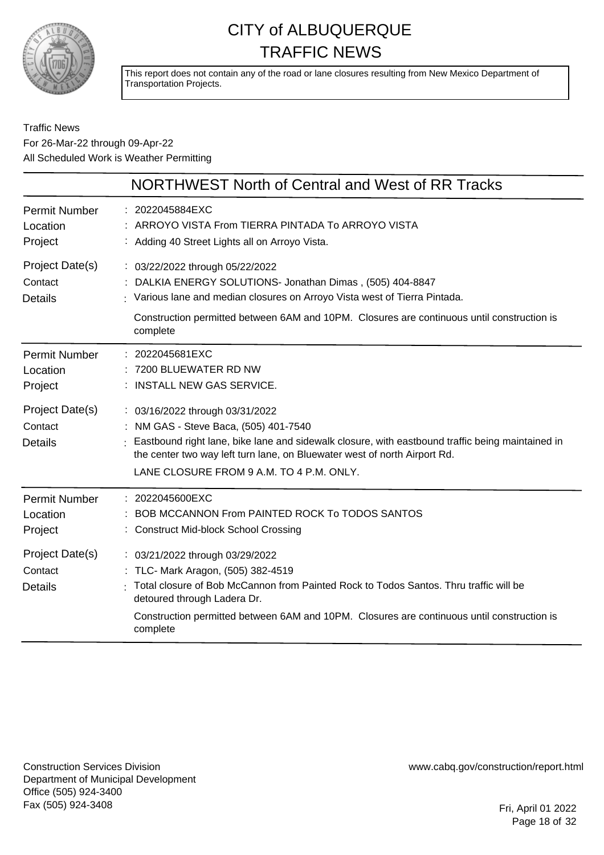

This report does not contain any of the road or lane closures resulting from New Mexico Department of Transportation Projects.

#### Traffic News For 26-Mar-22 through 09-Apr-22 All Scheduled Work is Weather Permitting

|                                              | <b>NORTHWEST North of Central and West of RR Tracks</b>                                                                                                                                                                                                                                                 |
|----------------------------------------------|---------------------------------------------------------------------------------------------------------------------------------------------------------------------------------------------------------------------------------------------------------------------------------------------------------|
| <b>Permit Number</b><br>Location<br>Project  | : 2022045884EXC<br>: ARROYO VISTA From TIERRA PINTADA To ARROYO VISTA<br>: Adding 40 Street Lights all on Arroyo Vista.                                                                                                                                                                                 |
| Project Date(s)<br>Contact<br><b>Details</b> | : 03/22/2022 through 05/22/2022<br>: DALKIA ENERGY SOLUTIONS- Jonathan Dimas, (505) 404-8847<br>: Various lane and median closures on Arroyo Vista west of Tierra Pintada.<br>Construction permitted between 6AM and 10PM. Closures are continuous until construction is<br>complete                    |
| <b>Permit Number</b><br>Location<br>Project  | : 2022045681EXC<br>7200 BLUEWATER RD NW<br>: INSTALL NEW GAS SERVICE.                                                                                                                                                                                                                                   |
| Project Date(s)<br>Contact<br><b>Details</b> | : 03/16/2022 through 03/31/2022<br>: NM GAS - Steve Baca, (505) 401-7540<br>: Eastbound right lane, bike lane and sidewalk closure, with eastbound traffic being maintained in<br>the center two way left turn lane, on Bluewater west of north Airport Rd.<br>LANE CLOSURE FROM 9 A.M. TO 4 P.M. ONLY. |
| <b>Permit Number</b><br>Location<br>Project  | : 2022045600EXC<br>BOB MCCANNON From PAINTED ROCK To TODOS SANTOS<br>: Construct Mid-block School Crossing                                                                                                                                                                                              |
| Project Date(s)<br>Contact<br><b>Details</b> | : 03/21/2022 through 03/29/2022<br>: TLC- Mark Aragon, (505) 382-4519<br>Total closure of Bob McCannon from Painted Rock to Todos Santos. Thru traffic will be<br>detoured through Ladera Dr.<br>Construction permitted between 6AM and 10PM. Closures are continuous until construction is<br>complete |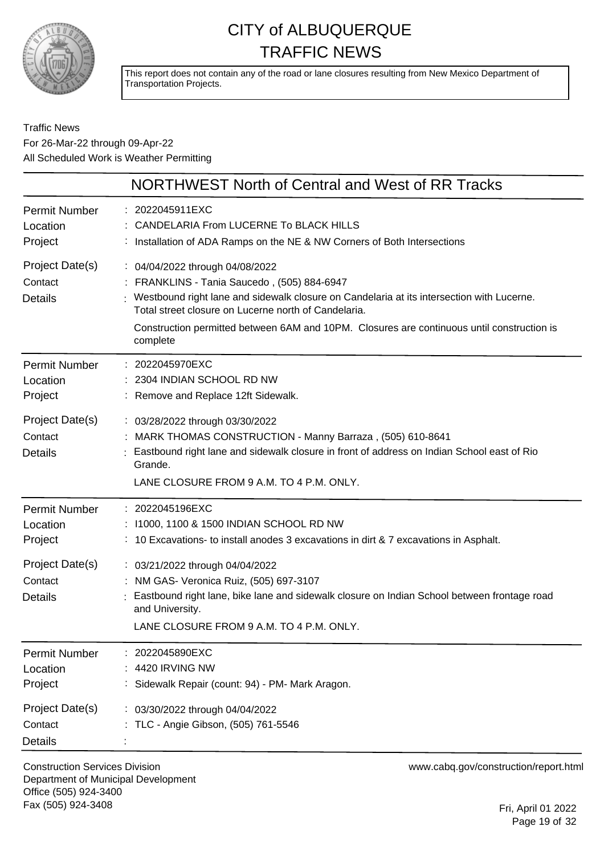

This report does not contain any of the road or lane closures resulting from New Mexico Department of Transportation Projects.

#### Traffic News For 26-Mar-22 through 09-Apr-22 All Scheduled Work is Weather Permitting

|                                                                                             | NORTHWEST North of Central and West of RR Tracks                                                                                                                                                                                                                                                                                                                                                 |
|---------------------------------------------------------------------------------------------|--------------------------------------------------------------------------------------------------------------------------------------------------------------------------------------------------------------------------------------------------------------------------------------------------------------------------------------------------------------------------------------------------|
| Permit Number<br>Location<br>Project                                                        | : 2022045911EXC<br>: CANDELARIA From LUCERNE To BLACK HILLS<br>: Installation of ADA Ramps on the NE & NW Corners of Both Intersections                                                                                                                                                                                                                                                          |
| Project Date(s)<br>Contact<br><b>Details</b>                                                | : 04/04/2022 through 04/08/2022<br>: FRANKLINS - Tania Saucedo, (505) 884-6947<br>: Westbound right lane and sidewalk closure on Candelaria at its intersection with Lucerne.<br>Total street closure on Lucerne north of Candelaria.<br>Construction permitted between 6AM and 10PM. Closures are continuous until construction is<br>complete                                                  |
| Permit Number<br>Location<br>Project                                                        | : 2022045970EXC<br>: 2304 INDIAN SCHOOL RD NW<br>: Remove and Replace 12ft Sidewalk.                                                                                                                                                                                                                                                                                                             |
| Project Date(s)<br>Contact<br><b>Details</b>                                                | : 03/28/2022 through 03/30/2022<br>: MARK THOMAS CONSTRUCTION - Manny Barraza, (505) 610-8641<br>: Eastbound right lane and sidewalk closure in front of address on Indian School east of Rio<br>Grande.<br>LANE CLOSURE FROM 9 A.M. TO 4 P.M. ONLY.                                                                                                                                             |
| <b>Permit Number</b><br>Location<br>Project<br>Project Date(s)<br>Contact<br><b>Details</b> | : 2022045196EXC<br>: 11000, 1100 & 1500 INDIAN SCHOOL RD NW<br>: 10 Excavations- to install anodes 3 excavations in dirt & 7 excavations in Asphalt.<br>: 03/21/2022 through 04/04/2022<br>: NM GAS- Veronica Ruiz, (505) 697-3107<br>Eastbound right lane, bike lane and sidewalk closure on Indian School between frontage road<br>and University.<br>LANE CLOSURE FROM 9 A.M. TO 4 P.M. ONLY. |
| <b>Permit Number</b><br>Location<br>Project<br>Project Date(s)<br>Contact<br><b>Details</b> | 2022045890EXC<br>4420 IRVING NW<br>Sidewalk Repair (count: 94) - PM- Mark Aragon.<br>: 03/30/2022 through 04/04/2022<br>TLC - Angie Gibson, (505) 761-5546                                                                                                                                                                                                                                       |

Construction Services Division Department of Municipal Development Office (505) 924-3400 Fax (505) 924-3408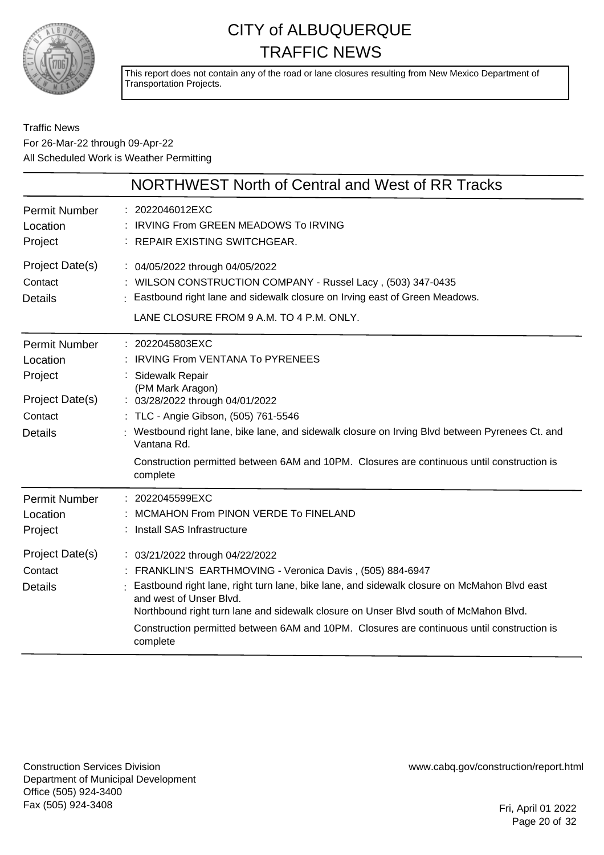

This report does not contain any of the road or lane closures resulting from New Mexico Department of Transportation Projects.

#### Traffic News For 26-Mar-22 through 09-Apr-22 All Scheduled Work is Weather Permitting

|                                                                                             | NORTHWEST North of Central and West of RR Tracks                                                                                                                                                                                                                                                                                                                                                                         |
|---------------------------------------------------------------------------------------------|--------------------------------------------------------------------------------------------------------------------------------------------------------------------------------------------------------------------------------------------------------------------------------------------------------------------------------------------------------------------------------------------------------------------------|
| <b>Permit Number</b><br>Location<br>Project                                                 | : 2022046012EXC<br><b>IRVING From GREEN MEADOWS To IRVING</b><br>: REPAIR EXISTING SWITCHGEAR.                                                                                                                                                                                                                                                                                                                           |
| Project Date(s)<br>Contact<br><b>Details</b>                                                | : 04/05/2022 through 04/05/2022<br>: WILSON CONSTRUCTION COMPANY - Russel Lacy, (503) 347-0435<br>Eastbound right lane and sidewalk closure on Irving east of Green Meadows.<br>LANE CLOSURE FROM 9 A.M. TO 4 P.M. ONLY.                                                                                                                                                                                                 |
| <b>Permit Number</b><br>Location<br>Project<br>Project Date(s)<br>Contact<br><b>Details</b> | : 2022045803EXC<br>IRVING From VENTANA To PYRENEES<br>Sidewalk Repair<br>(PM Mark Aragon)<br>: 03/28/2022 through 04/01/2022<br>: TLC - Angie Gibson, (505) 761-5546<br>Westbound right lane, bike lane, and sidewalk closure on Irving Blvd between Pyrenees Ct. and<br>Vantana Rd.<br>Construction permitted between 6AM and 10PM. Closures are continuous until construction is<br>complete                           |
| <b>Permit Number</b><br>Location<br>Project                                                 | : 2022045599EXC<br>MCMAHON From PINON VERDE To FINELAND<br>: Install SAS Infrastructure                                                                                                                                                                                                                                                                                                                                  |
| Project Date(s)<br>Contact<br><b>Details</b>                                                | : 03/21/2022 through 04/22/2022<br>: FRANKLIN'S EARTHMOVING - Veronica Davis, (505) 884-6947<br>Eastbound right lane, right turn lane, bike lane, and sidewalk closure on McMahon Blvd east<br>and west of Unser Blvd.<br>Northbound right turn lane and sidewalk closure on Unser Blvd south of McMahon Blvd.<br>Construction permitted between 6AM and 10PM. Closures are continuous until construction is<br>complete |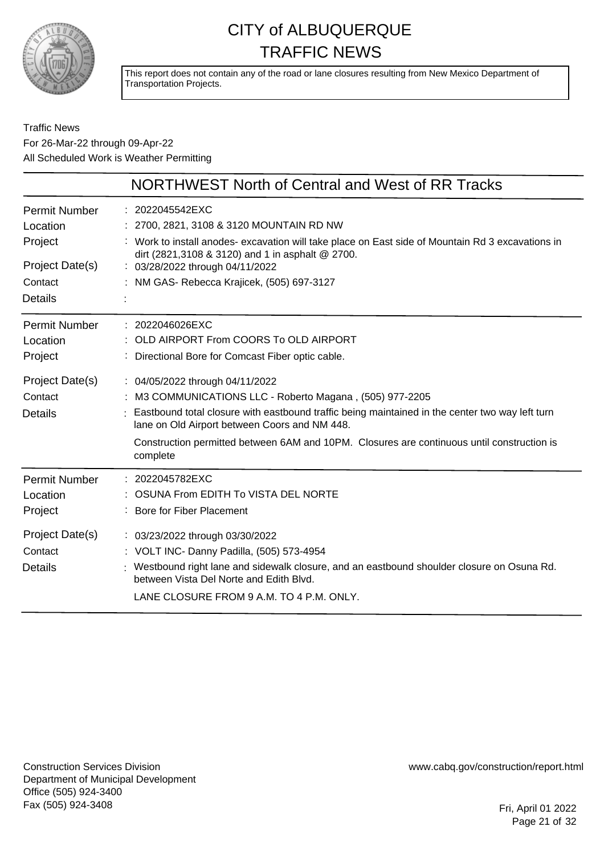

This report does not contain any of the road or lane closures resulting from New Mexico Department of Transportation Projects.

#### Traffic News For 26-Mar-22 through 09-Apr-22 All Scheduled Work is Weather Permitting

|                                              | NORTHWEST North of Central and West of RR Tracks                                                                                                                                                                                                                                                                                                        |
|----------------------------------------------|---------------------------------------------------------------------------------------------------------------------------------------------------------------------------------------------------------------------------------------------------------------------------------------------------------------------------------------------------------|
| Permit Number                                | 2022045542EXC                                                                                                                                                                                                                                                                                                                                           |
| Location                                     | : 2700, 2821, 3108 & 3120 MOUNTAIN RD NW                                                                                                                                                                                                                                                                                                                |
| Project                                      | : Work to install anodes- excavation will take place on East side of Mountain Rd 3 excavations in                                                                                                                                                                                                                                                       |
| Project Date(s)                              | dirt (2821,3108 & 3120) and 1 in asphalt @ 2700.                                                                                                                                                                                                                                                                                                        |
| Contact                                      | : 03/28/2022 through 04/11/2022                                                                                                                                                                                                                                                                                                                         |
| <b>Details</b>                               | NM GAS- Rebecca Krajicek, (505) 697-3127                                                                                                                                                                                                                                                                                                                |
| <b>Permit Number</b>                         | : 2022046026EXC                                                                                                                                                                                                                                                                                                                                         |
| Location                                     | OLD AIRPORT From COORS To OLD AIRPORT                                                                                                                                                                                                                                                                                                                   |
| Project                                      | Directional Bore for Comcast Fiber optic cable.                                                                                                                                                                                                                                                                                                         |
| Project Date(s)<br>Contact<br>Details        | : 04/05/2022 through 04/11/2022<br>M3 COMMUNICATIONS LLC - Roberto Magana, (505) 977-2205<br>Eastbound total closure with eastbound traffic being maintained in the center two way left turn<br>lane on Old Airport between Coors and NM 448.<br>Construction permitted between 6AM and 10PM. Closures are continuous until construction is<br>complete |
| Permit Number                                | : 2022045782EXC                                                                                                                                                                                                                                                                                                                                         |
| Location                                     | OSUNA From EDITH To VISTA DEL NORTE                                                                                                                                                                                                                                                                                                                     |
| Project                                      | Bore for Fiber Placement                                                                                                                                                                                                                                                                                                                                |
| Project Date(s)<br>Contact<br><b>Details</b> | : 03/23/2022 through 03/30/2022<br>: VOLT INC- Danny Padilla, (505) 573-4954<br>: Westbound right lane and sidewalk closure, and an eastbound shoulder closure on Osuna Rd.<br>between Vista Del Norte and Edith Blvd.<br>LANE CLOSURE FROM 9 A.M. TO 4 P.M. ONLY.                                                                                      |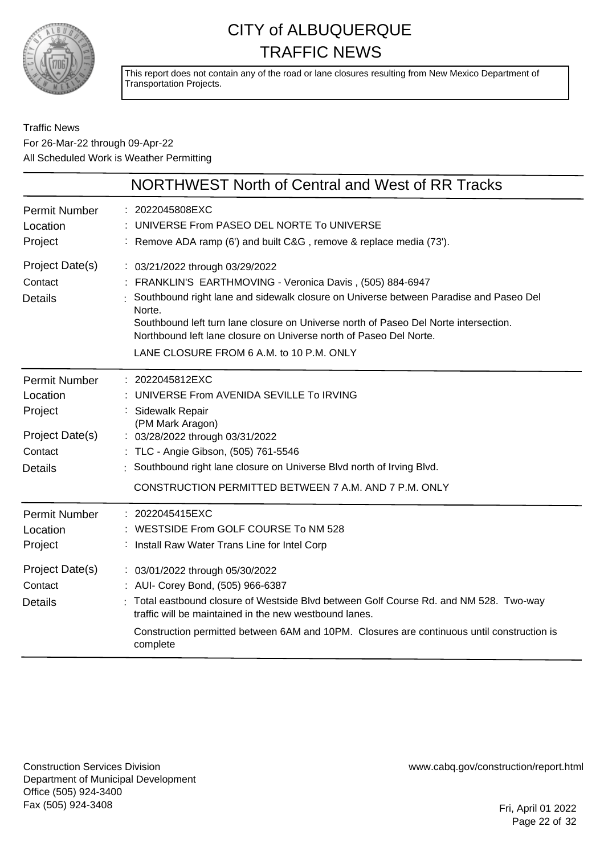

This report does not contain any of the road or lane closures resulting from New Mexico Department of Transportation Projects.

#### Traffic News For 26-Mar-22 through 09-Apr-22 All Scheduled Work is Weather Permitting

|                                                                                             | NORTHWEST North of Central and West of RR Tracks                                                                                                                                                                                                                                                                                                                                                                                            |
|---------------------------------------------------------------------------------------------|---------------------------------------------------------------------------------------------------------------------------------------------------------------------------------------------------------------------------------------------------------------------------------------------------------------------------------------------------------------------------------------------------------------------------------------------|
| <b>Permit Number</b><br>Location<br>Project                                                 | : 2022045808EXC<br>UNIVERSE From PASEO DEL NORTE To UNIVERSE<br>: Remove ADA ramp (6') and built C&G, remove & replace media (73').                                                                                                                                                                                                                                                                                                         |
| Project Date(s)<br>Contact<br><b>Details</b>                                                | : 03/21/2022 through 03/29/2022<br>: FRANKLIN'S EARTHMOVING - Veronica Davis, (505) 884-6947<br>Southbound right lane and sidewalk closure on Universe between Paradise and Paseo Del<br>Norte.<br>Southbound left turn lane closure on Universe north of Paseo Del Norte intersection.<br>Northbound left lane closure on Universe north of Paseo Del Norte.<br>LANE CLOSURE FROM 6 A.M. to 10 P.M. ONLY                                   |
| <b>Permit Number</b><br>Location<br>Project<br>Project Date(s)<br>Contact<br><b>Details</b> | : 2022045812EXC<br>UNIVERSE From AVENIDA SEVILLE To IRVING<br>Sidewalk Repair<br>(PM Mark Aragon)<br>: 03/28/2022 through 03/31/2022<br>: TLC - Angie Gibson, (505) 761-5546<br>: Southbound right lane closure on Universe Blvd north of Irving Blvd.<br>CONSTRUCTION PERMITTED BETWEEN 7 A.M. AND 7 P.M. ONLY                                                                                                                             |
| <b>Permit Number</b><br>Location<br>Project<br>Project Date(s)<br>Contact<br><b>Details</b> | : 2022045415EXC<br>WESTSIDE From GOLF COURSE To NM 528<br>: Install Raw Water Trans Line for Intel Corp<br>: 03/01/2022 through 05/30/2022<br>: AUI- Corey Bond, (505) 966-6387<br>Total eastbound closure of Westside Blvd between Golf Course Rd. and NM 528. Two-way<br>traffic will be maintained in the new westbound lanes.<br>Construction permitted between 6AM and 10PM. Closures are continuous until construction is<br>complete |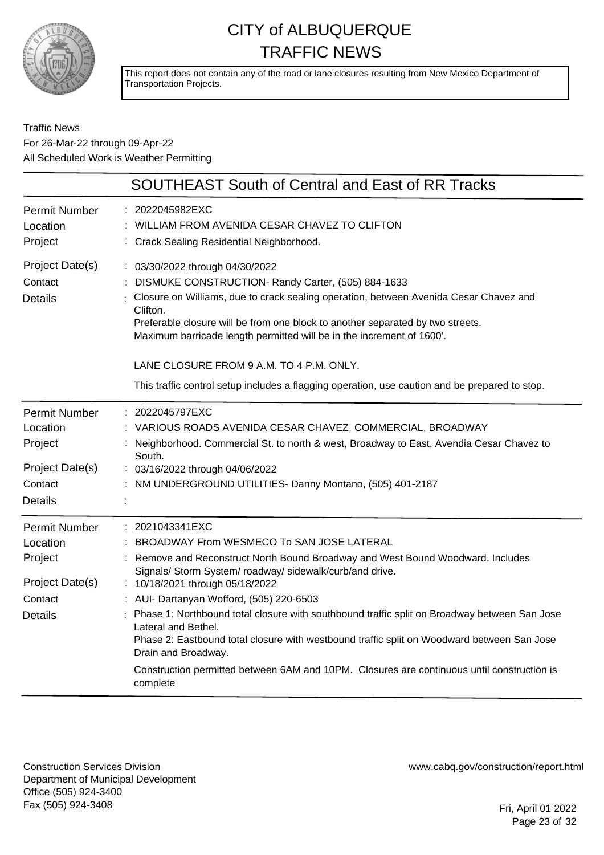

This report does not contain any of the road or lane closures resulting from New Mexico Department of Transportation Projects.

#### Traffic News For 26-Mar-22 through 09-Apr-22 All Scheduled Work is Weather Permitting

|                                                                                             | <b>SOUTHEAST South of Central and East of RR Tracks</b>                                                                                                                                                                                                                                                                                                                                                                                                                                                                                                                                                                                        |
|---------------------------------------------------------------------------------------------|------------------------------------------------------------------------------------------------------------------------------------------------------------------------------------------------------------------------------------------------------------------------------------------------------------------------------------------------------------------------------------------------------------------------------------------------------------------------------------------------------------------------------------------------------------------------------------------------------------------------------------------------|
| <b>Permit Number</b><br>Location<br>Project                                                 | 2022045982EXC<br>WILLIAM FROM AVENIDA CESAR CHAVEZ TO CLIFTON<br>: Crack Sealing Residential Neighborhood.                                                                                                                                                                                                                                                                                                                                                                                                                                                                                                                                     |
| Project Date(s)<br>Contact<br><b>Details</b>                                                | : 03/30/2022 through 04/30/2022<br>DISMUKE CONSTRUCTION- Randy Carter, (505) 884-1633<br>Closure on Williams, due to crack sealing operation, between Avenida Cesar Chavez and<br>Clifton.<br>Preferable closure will be from one block to another separated by two streets.<br>Maximum barricade length permitted will be in the increment of 1600'.<br>LANE CLOSURE FROM 9 A.M. TO 4 P.M. ONLY.<br>This traffic control setup includes a flagging operation, use caution and be prepared to stop.                                                                                                                                            |
| <b>Permit Number</b><br>Location<br>Project<br>Project Date(s)<br>Contact<br><b>Details</b> | 2022045797EXC<br>VARIOUS ROADS AVENIDA CESAR CHAVEZ, COMMERCIAL, BROADWAY<br>Neighborhood. Commercial St. to north & west, Broadway to East, Avendia Cesar Chavez to<br>South.<br>: 03/16/2022 through 04/06/2022<br>: NM UNDERGROUND UTILITIES- Danny Montano, (505) 401-2187                                                                                                                                                                                                                                                                                                                                                                 |
| <b>Permit Number</b><br>Location<br>Project<br>Project Date(s)<br>Contact<br><b>Details</b> | : 2021043341EXC<br>BROADWAY From WESMECO To SAN JOSE LATERAL<br>Remove and Reconstruct North Bound Broadway and West Bound Woodward. Includes<br>Signals/ Storm System/ roadway/ sidewalk/curb/and drive.<br>: 10/18/2021 through 05/18/2022<br>: AUI- Dartanyan Wofford, (505) 220-6503<br>Phase 1: Northbound total closure with southbound traffic split on Broadway between San Jose<br>Lateral and Bethel.<br>Phase 2: Eastbound total closure with westbound traffic split on Woodward between San Jose<br>Drain and Broadway.<br>Construction permitted between 6AM and 10PM. Closures are continuous until construction is<br>complete |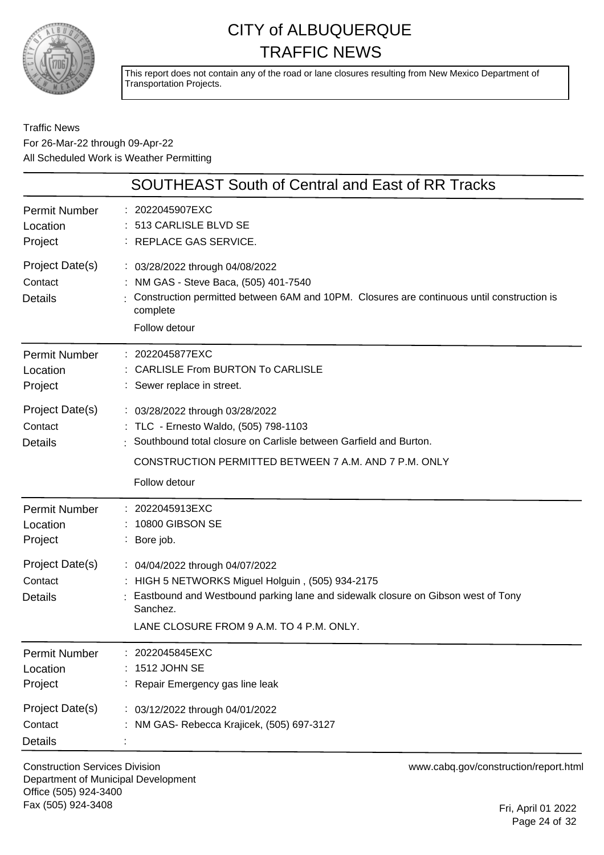

This report does not contain any of the road or lane closures resulting from New Mexico Department of Transportation Projects.

#### Traffic News For 26-Mar-22 through 09-Apr-22 All Scheduled Work is Weather Permitting

|                                              | <b>SOUTHEAST South of Central and East of RR Tracks</b>                                                                                                                                                                       |
|----------------------------------------------|-------------------------------------------------------------------------------------------------------------------------------------------------------------------------------------------------------------------------------|
| Permit Number<br>Location<br>Project         | : 2022045907EXC<br>: 513 CARLISLE BLVD SE<br>: REPLACE GAS SERVICE.                                                                                                                                                           |
| Project Date(s)<br>Contact<br><b>Details</b> | : 03/28/2022 through 04/08/2022<br>NM GAS - Steve Baca, (505) 401-7540<br>Construction permitted between 6AM and 10PM. Closures are continuous until construction is<br>complete<br>Follow detour                             |
| Permit Number<br>Location<br>Project         | : 2022045877EXC<br>: CARLISLE From BURTON To CARLISLE<br>: Sewer replace in street.                                                                                                                                           |
| Project Date(s)<br>Contact<br><b>Details</b> | : 03/28/2022 through 03/28/2022<br>: TLC - Ernesto Waldo, (505) 798-1103<br>Southbound total closure on Carlisle between Garfield and Burton.<br>CONSTRUCTION PERMITTED BETWEEN 7 A.M. AND 7 P.M. ONLY<br>Follow detour       |
| <b>Permit Number</b><br>Location<br>Project  | : 2022045913EXC<br>: 10800 GIBSON SE<br>: Bore job.                                                                                                                                                                           |
| Project Date(s)<br>Contact<br><b>Details</b> | : 04/04/2022 through 04/07/2022<br>HIGH 5 NETWORKS Miguel Holguin, (505) 934-2175<br>Eastbound and Westbound parking lane and sidewalk closure on Gibson west of Tony<br>Sanchez.<br>LANE CLOSURE FROM 9 A.M. TO 4 P.M. ONLY. |
| <b>Permit Number</b><br>Location<br>Project  | 2022045845EXC<br>1512 JOHN SE<br>Repair Emergency gas line leak                                                                                                                                                               |
| Project Date(s)<br>Contact<br><b>Details</b> | : 03/12/2022 through 04/01/2022<br>NM GAS- Rebecca Krajicek, (505) 697-3127                                                                                                                                                   |

Construction Services Division Department of Municipal Development Office (505) 924-3400 Fax (505) 924-3408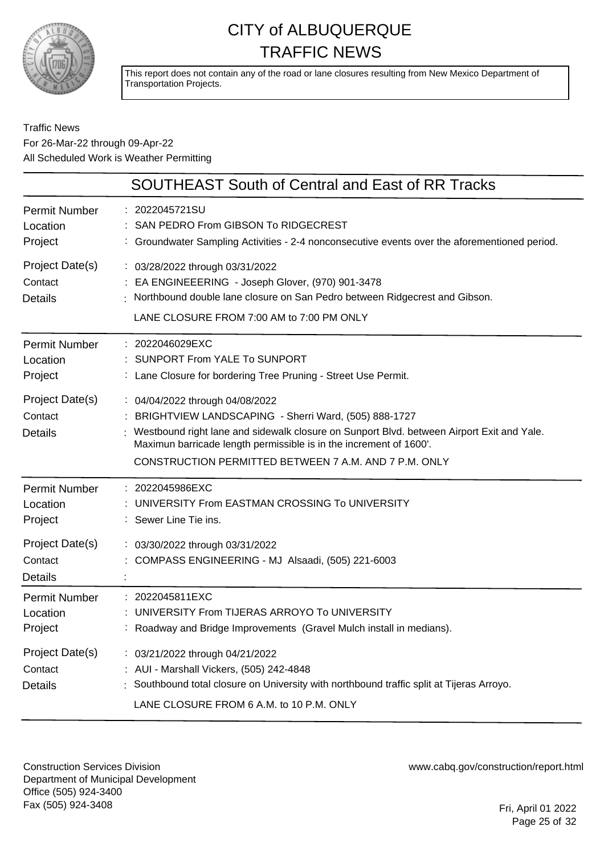

This report does not contain any of the road or lane closures resulting from New Mexico Department of Transportation Projects.

#### Traffic News For 26-Mar-22 through 09-Apr-22 All Scheduled Work is Weather Permitting

|                                              | SOUTHEAST South of Central and East of RR Tracks                                                                                                                                                                                                                                                                      |
|----------------------------------------------|-----------------------------------------------------------------------------------------------------------------------------------------------------------------------------------------------------------------------------------------------------------------------------------------------------------------------|
| <b>Permit Number</b><br>Location<br>Project  | : 2022045721SU<br>SAN PEDRO From GIBSON To RIDGECREST<br>: Groundwater Sampling Activities - 2-4 nonconsecutive events over the aforementioned period.                                                                                                                                                                |
| Project Date(s)<br>Contact<br><b>Details</b> | : 03/28/2022 through 03/31/2022<br>: EA ENGINEEERING - Joseph Glover, (970) 901-3478<br>Northbound double lane closure on San Pedro between Ridgecrest and Gibson.<br>LANE CLOSURE FROM 7:00 AM to 7:00 PM ONLY                                                                                                       |
| Permit Number<br>Location<br>Project         | : 2022046029EXC<br><b>SUNPORT From YALE To SUNPORT</b><br>: Lane Closure for bordering Tree Pruning - Street Use Permit.                                                                                                                                                                                              |
| Project Date(s)<br>Contact<br><b>Details</b> | : 04/04/2022 through 04/08/2022<br>: BRIGHTVIEW LANDSCAPING - Sherri Ward, (505) 888-1727<br>Westbound right lane and sidewalk closure on Sunport Blvd. between Airport Exit and Yale.<br>Maximun barricade length permissible is in the increment of 1600'.<br>CONSTRUCTION PERMITTED BETWEEN 7 A.M. AND 7 P.M. ONLY |
| <b>Permit Number</b><br>Location<br>Project  | : 2022045986EXC<br>UNIVERSITY From EASTMAN CROSSING To UNIVERSITY<br>: Sewer Line Tie ins.                                                                                                                                                                                                                            |
| Project Date(s)<br>Contact<br><b>Details</b> | : 03/30/2022 through 03/31/2022<br>COMPASS ENGINEERING - MJ Alsaadi, (505) 221-6003                                                                                                                                                                                                                                   |
| Permit Number<br>Location<br>Project         | 2022045811EXC<br>UNIVERSITY From TIJERAS ARROYO To UNIVERSITY<br>Roadway and Bridge Improvements (Gravel Mulch install in medians)                                                                                                                                                                                    |
| Project Date(s)<br>Contact<br><b>Details</b> | : 03/21/2022 through 04/21/2022<br>: AUI - Marshall Vickers, (505) 242-4848<br>: Southbound total closure on University with northbound traffic split at Tijeras Arroyo.<br>LANE CLOSURE FROM 6 A.M. to 10 P.M. ONLY                                                                                                  |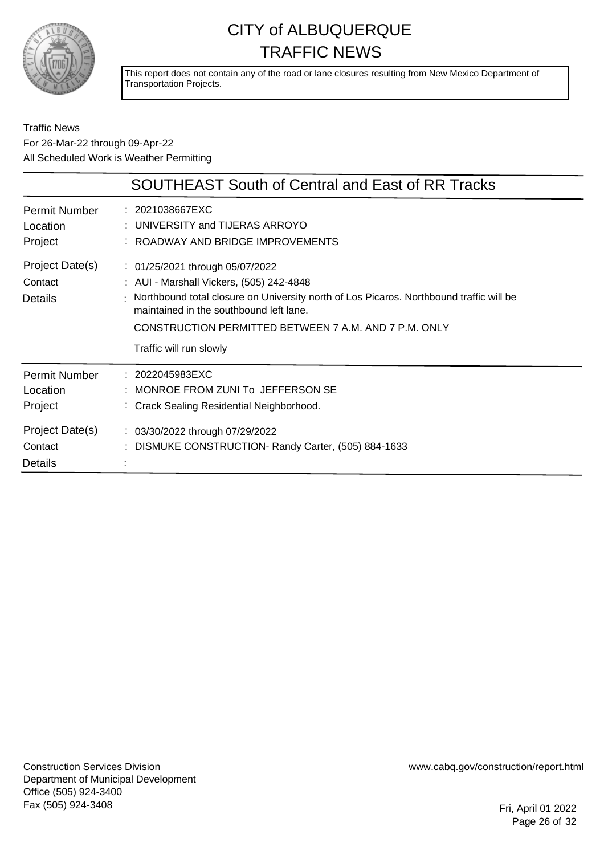

This report does not contain any of the road or lane closures resulting from New Mexico Department of Transportation Projects.

#### Traffic News For 26-Mar-22 through 09-Apr-22 All Scheduled Work is Weather Permitting

|                                                                                             | <b>SOUTHEAST South of Central and East of RR Tracks</b>                                                                                                                                                                                                                                                 |
|---------------------------------------------------------------------------------------------|---------------------------------------------------------------------------------------------------------------------------------------------------------------------------------------------------------------------------------------------------------------------------------------------------------|
| <b>Permit Number</b><br>Location<br>Project                                                 | : 2021038667EXC<br>: UNIVERSITY and TIJERAS ARROYO<br>: ROADWAY AND BRIDGE IMPROVEMENTS                                                                                                                                                                                                                 |
| Project Date(s)<br>Contact<br><b>Details</b>                                                | : 01/25/2021 through 05/07/2022<br>: AUI - Marshall Vickers, (505) 242-4848<br>: Northbound total closure on University north of Los Picaros. Northbound traffic will be<br>maintained in the southbound left lane.<br>CONSTRUCTION PERMITTED BETWEEN 7 A.M. AND 7 P.M. ONLY<br>Traffic will run slowly |
| <b>Permit Number</b><br>Location<br>Project<br>Project Date(s)<br>Contact<br><b>Details</b> | : 2022045983EXC<br>: MONROE FROM ZUNI To JEFFERSON SE<br>: Crack Sealing Residential Neighborhood.<br>: 03/30/2022 through 07/29/2022<br>: DISMUKE CONSTRUCTION- Randy Carter, (505) 884-1633                                                                                                           |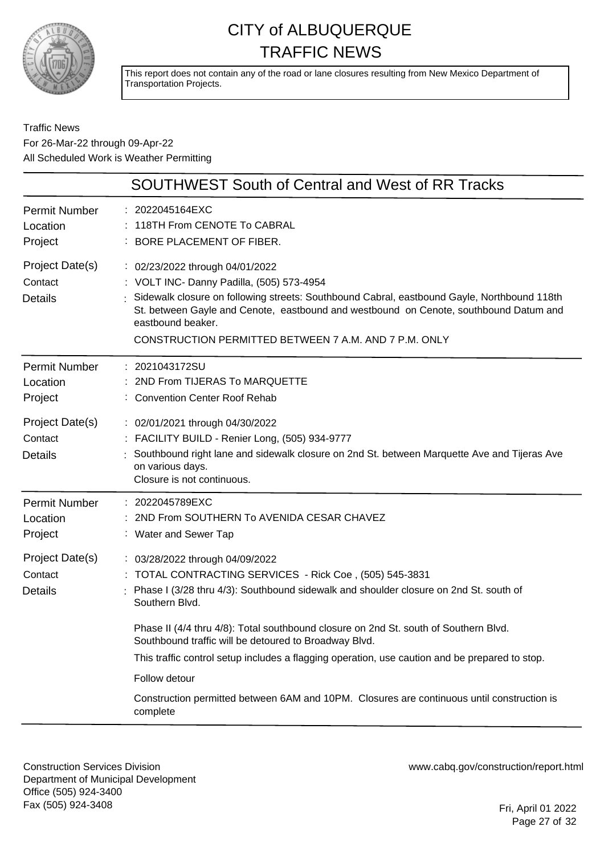

This report does not contain any of the road or lane closures resulting from New Mexico Department of Transportation Projects.

#### Traffic News For 26-Mar-22 through 09-Apr-22 All Scheduled Work is Weather Permitting

| <b>SOUTHWEST South of Central and West of RR Tracks</b> |                                                                                                                                                                                                                                                                                                                                                                            |
|---------------------------------------------------------|----------------------------------------------------------------------------------------------------------------------------------------------------------------------------------------------------------------------------------------------------------------------------------------------------------------------------------------------------------------------------|
| <b>Permit Number</b><br>Location<br>Project             | : 2022045164EXC<br>118TH From CENOTE To CABRAL<br>BORE PLACEMENT OF FIBER.                                                                                                                                                                                                                                                                                                 |
| Project Date(s)<br>Contact<br><b>Details</b>            | : 02/23/2022 through 04/01/2022<br>: VOLT INC- Danny Padilla, (505) 573-4954<br>Sidewalk closure on following streets: Southbound Cabral, eastbound Gayle, Northbound 118th<br>St. between Gayle and Cenote, eastbound and westbound on Cenote, southbound Datum and<br>eastbound beaker.<br>CONSTRUCTION PERMITTED BETWEEN 7 A.M. AND 7 P.M. ONLY                         |
| <b>Permit Number</b><br>Location<br>Project             | : 2021043172SU<br>2ND From TIJERAS To MARQUETTE<br>: Convention Center Roof Rehab                                                                                                                                                                                                                                                                                          |
| Project Date(s)<br>Contact<br><b>Details</b>            | : 02/01/2021 through 04/30/2022<br>: FACILITY BUILD - Renier Long, (505) 934-9777<br>Southbound right lane and sidewalk closure on 2nd St. between Marquette Ave and Tijeras Ave<br>on various days.<br>Closure is not continuous.                                                                                                                                         |
| <b>Permit Number</b><br>Location<br>Project             | : 2022045789EXC<br>2ND From SOUTHERN To AVENIDA CESAR CHAVEZ<br>: Water and Sewer Tap                                                                                                                                                                                                                                                                                      |
| Project Date(s)<br>Contact<br><b>Details</b>            | : 03/28/2022 through 04/09/2022<br>TOTAL CONTRACTING SERVICES - Rick Coe, (505) 545-3831<br>Phase I (3/28 thru 4/3): Southbound sidewalk and shoulder closure on 2nd St. south of<br>Southern Blvd.                                                                                                                                                                        |
|                                                         | Phase II (4/4 thru 4/8): Total southbound closure on 2nd St. south of Southern Blvd.<br>Southbound traffic will be detoured to Broadway Blvd.<br>This traffic control setup includes a flagging operation, use caution and be prepared to stop.<br>Follow detour<br>Construction permitted between 6AM and 10PM. Closures are continuous until construction is<br>complete |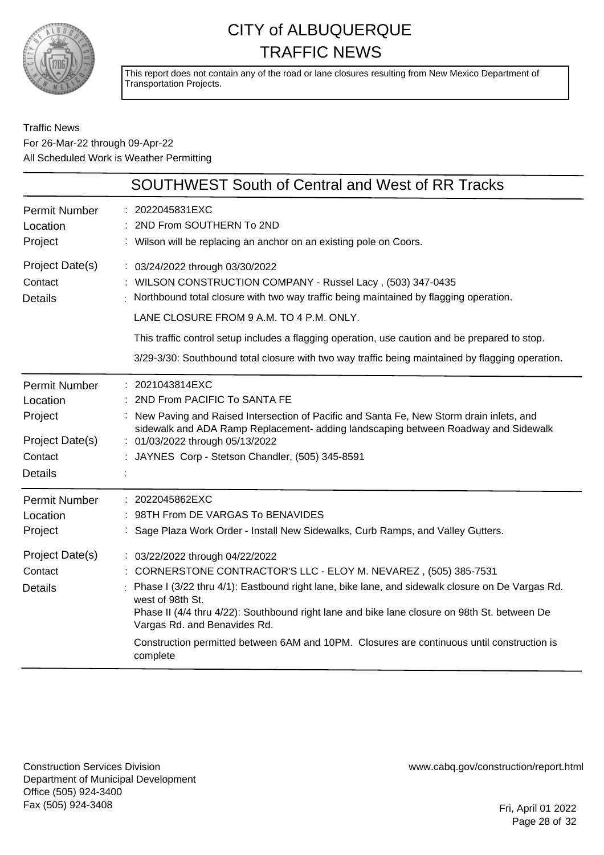

This report does not contain any of the road or lane closures resulting from New Mexico Department of Transportation Projects.

#### Traffic News For 26-Mar-22 through 09-Apr-22 All Scheduled Work is Weather Permitting

|                                                                                             | <b>SOUTHWEST South of Central and West of RR Tracks</b>                                                                                                                                                                                                                                                                                                                                                                                                              |
|---------------------------------------------------------------------------------------------|----------------------------------------------------------------------------------------------------------------------------------------------------------------------------------------------------------------------------------------------------------------------------------------------------------------------------------------------------------------------------------------------------------------------------------------------------------------------|
| <b>Permit Number</b><br>Location<br>Project                                                 | : 2022045831EXC<br>: 2ND From SOUTHERN To 2ND<br>: Wilson will be replacing an anchor on an existing pole on Coors.                                                                                                                                                                                                                                                                                                                                                  |
| Project Date(s)<br>Contact<br><b>Details</b>                                                | : 03/24/2022 through 03/30/2022<br>: WILSON CONSTRUCTION COMPANY - Russel Lacy, (503) 347-0435<br>Northbound total closure with two way traffic being maintained by flagging operation.<br>LANE CLOSURE FROM 9 A.M. TO 4 P.M. ONLY.                                                                                                                                                                                                                                  |
|                                                                                             | This traffic control setup includes a flagging operation, use caution and be prepared to stop.<br>3/29-3/30: Southbound total closure with two way traffic being maintained by flagging operation.                                                                                                                                                                                                                                                                   |
| <b>Permit Number</b><br>Location<br>Project<br>Project Date(s)<br>Contact<br><b>Details</b> | : 2021043814EXC<br>2ND From PACIFIC To SANTA FE<br>: New Paving and Raised Intersection of Pacific and Santa Fe, New Storm drain inlets, and<br>sidewalk and ADA Ramp Replacement- adding landscaping between Roadway and Sidewalk<br>: 01/03/2022 through 05/13/2022<br>: JAYNES Corp - Stetson Chandler, (505) 345-8591                                                                                                                                            |
| <b>Permit Number</b><br>Location<br>Project                                                 | : 2022045862EXC<br>: 98TH From DE VARGAS To BENAVIDES<br>: Sage Plaza Work Order - Install New Sidewalks, Curb Ramps, and Valley Gutters.                                                                                                                                                                                                                                                                                                                            |
| Project Date(s)<br>Contact<br><b>Details</b>                                                | : 03/22/2022 through 04/22/2022<br>: CORNERSTONE CONTRACTOR'S LLC - ELOY M. NEVAREZ, (505) 385-7531<br>Phase I (3/22 thru 4/1): Eastbound right lane, bike lane, and sidewalk closure on De Vargas Rd.<br>west of 98th St.<br>Phase II (4/4 thru 4/22): Southbound right lane and bike lane closure on 98th St. between De<br>Vargas Rd. and Benavides Rd.<br>Construction permitted between 6AM and 10PM. Closures are continuous until construction is<br>complete |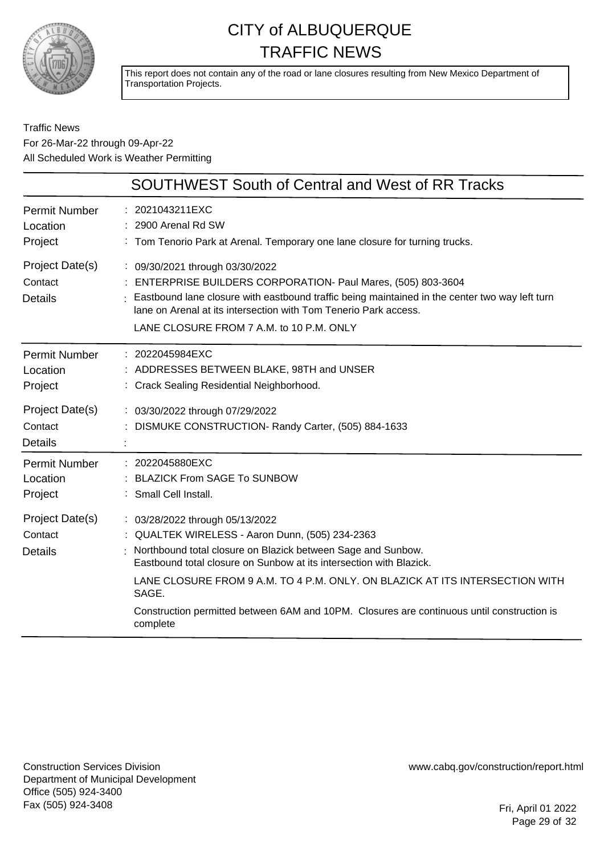

This report does not contain any of the road or lane closures resulting from New Mexico Department of Transportation Projects.

#### Traffic News For 26-Mar-22 through 09-Apr-22 All Scheduled Work is Weather Permitting

|                                                                                             | <b>SOUTHWEST South of Central and West of RR Tracks</b>                                                                                                                                                                                                                                                                                                                                                                      |
|---------------------------------------------------------------------------------------------|------------------------------------------------------------------------------------------------------------------------------------------------------------------------------------------------------------------------------------------------------------------------------------------------------------------------------------------------------------------------------------------------------------------------------|
| <b>Permit Number</b><br>Location<br>Project                                                 | : 2021043211EXC<br>2900 Arenal Rd SW<br>: Tom Tenorio Park at Arenal. Temporary one lane closure for turning trucks.                                                                                                                                                                                                                                                                                                         |
| Project Date(s)<br>Contact<br><b>Details</b>                                                | : 09/30/2021 through 03/30/2022<br>: ENTERPRISE BUILDERS CORPORATION- Paul Mares, (505) 803-3604<br>Eastbound lane closure with eastbound traffic being maintained in the center two way left turn<br>lane on Arenal at its intersection with Tom Tenerio Park access.<br>LANE CLOSURE FROM 7 A.M. to 10 P.M. ONLY                                                                                                           |
| <b>Permit Number</b><br>Location<br>Project<br>Project Date(s)<br>Contact<br><b>Details</b> | : 2022045984EXC<br>: ADDRESSES BETWEEN BLAKE, 98TH and UNSER<br>: Crack Sealing Residential Neighborhood.<br>: 03/30/2022 through 07/29/2022<br>DISMUKE CONSTRUCTION- Randy Carter, (505) 884-1633                                                                                                                                                                                                                           |
| <b>Permit Number</b><br>Location<br>Project                                                 | : 2022045880EXC<br>: BLAZICK From SAGE To SUNBOW<br>: Small Cell Install.                                                                                                                                                                                                                                                                                                                                                    |
| Project Date(s)<br>Contact<br><b>Details</b>                                                | : 03/28/2022 through 05/13/2022<br>: QUALTEK WIRELESS - Aaron Dunn, (505) 234-2363<br>Northbound total closure on Blazick between Sage and Sunbow.<br>Eastbound total closure on Sunbow at its intersection with Blazick.<br>LANE CLOSURE FROM 9 A.M. TO 4 P.M. ONLY. ON BLAZICK AT ITS INTERSECTION WITH<br>SAGE.<br>Construction permitted between 6AM and 10PM. Closures are continuous until construction is<br>complete |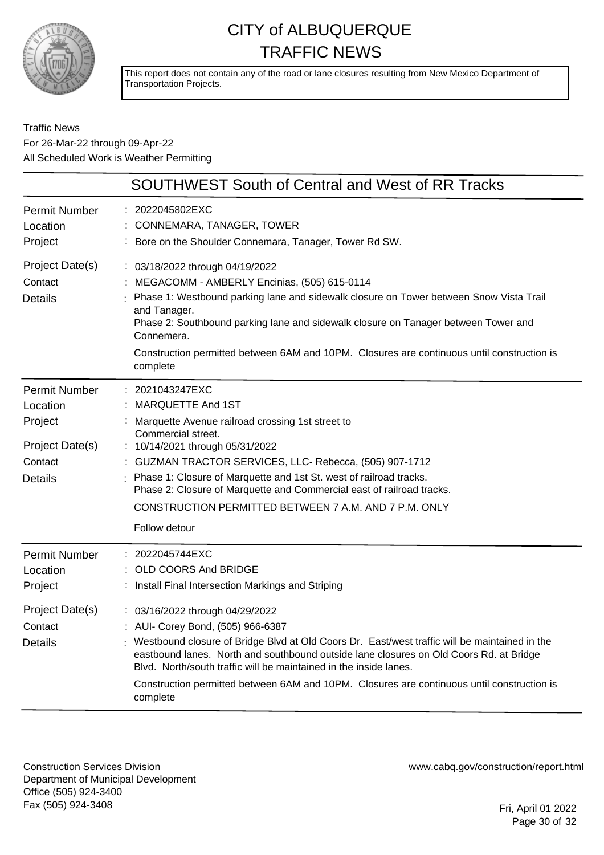

This report does not contain any of the road or lane closures resulting from New Mexico Department of Transportation Projects.

Traffic News For 26-Mar-22 through 09-Apr-22 All Scheduled Work is Weather Permitting

| <b>SOUTHWEST South of Central and West of RR Tracks</b>                                     |                                                                                                                                                                                                                                                                                                                                                                                                                                                                                                                                                 |
|---------------------------------------------------------------------------------------------|-------------------------------------------------------------------------------------------------------------------------------------------------------------------------------------------------------------------------------------------------------------------------------------------------------------------------------------------------------------------------------------------------------------------------------------------------------------------------------------------------------------------------------------------------|
| <b>Permit Number</b><br>Location<br>Project                                                 | : 2022045802EXC<br>CONNEMARA, TANAGER, TOWER<br>Bore on the Shoulder Connemara, Tanager, Tower Rd SW.                                                                                                                                                                                                                                                                                                                                                                                                                                           |
| Project Date(s)<br>Contact<br><b>Details</b>                                                | : 03/18/2022 through 04/19/2022<br>MEGACOMM - AMBERLY Encinias, (505) 615-0114<br>Phase 1: Westbound parking lane and sidewalk closure on Tower between Snow Vista Trail<br>and Tanager.<br>Phase 2: Southbound parking lane and sidewalk closure on Tanager between Tower and<br>Connemera.<br>Construction permitted between 6AM and 10PM. Closures are continuous until construction is<br>complete                                                                                                                                          |
| <b>Permit Number</b><br>Location<br>Project<br>Project Date(s)<br>Contact<br><b>Details</b> | 2021043247EXC<br>MARQUETTE And 1ST<br>Marquette Avenue railroad crossing 1st street to<br>Commercial street.<br>: 10/14/2021 through 05/31/2022<br>GUZMAN TRACTOR SERVICES, LLC- Rebecca, (505) 907-1712<br>Phase 1: Closure of Marquette and 1st St. west of railroad tracks.<br>Phase 2: Closure of Marquette and Commercial east of railroad tracks.<br>CONSTRUCTION PERMITTED BETWEEN 7 A.M. AND 7 P.M. ONLY<br>Follow detour                                                                                                               |
| <b>Permit Number</b><br>Location<br>Project<br>Project Date(s)<br>Contact<br><b>Details</b> | 2022045744EXC<br>OLD COORS And BRIDGE<br>: Install Final Intersection Markings and Striping<br>: 03/16/2022 through 04/29/2022<br>: AUI- Corey Bond, (505) 966-6387<br>: Westbound closure of Bridge Blvd at Old Coors Dr. East/west traffic will be maintained in the<br>eastbound lanes. North and southbound outside lane closures on Old Coors Rd. at Bridge<br>Blyd. North/south traffic will be maintained in the inside lanes.<br>Construction permitted between 6AM and 10PM. Closures are continuous until construction is<br>complete |

Construction Services Division Department of Municipal Development Office (505) 924-3400 Fax (505) 924-3408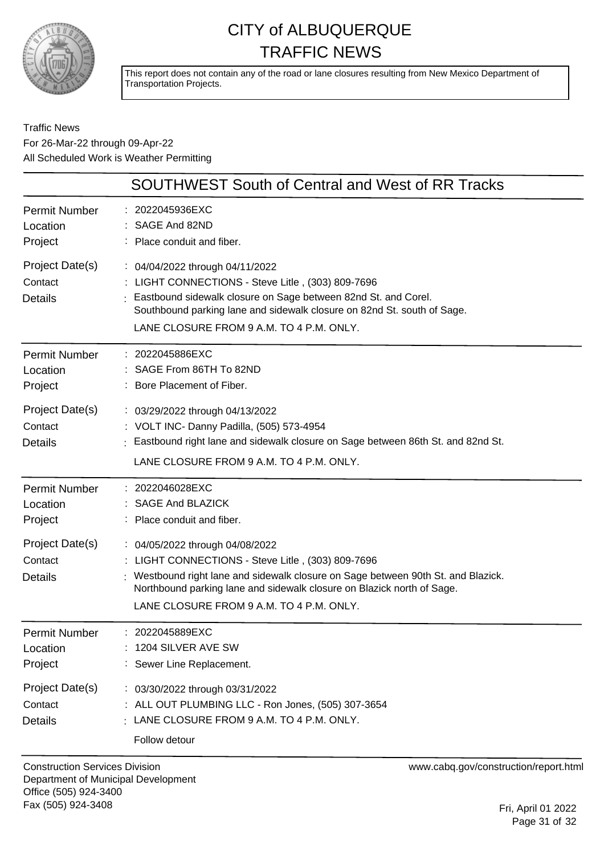

This report does not contain any of the road or lane closures resulting from New Mexico Department of Transportation Projects.

#### Traffic News For 26-Mar-22 through 09-Apr-22 All Scheduled Work is Weather Permitting

|                                              | SOUTHWEST South of Central and West of RR Tracks                                                                                                                                                                                                                                                |
|----------------------------------------------|-------------------------------------------------------------------------------------------------------------------------------------------------------------------------------------------------------------------------------------------------------------------------------------------------|
| Permit Number<br>Location<br>Project         | : 2022045936EXC<br>SAGE And 82ND<br>: Place conduit and fiber.                                                                                                                                                                                                                                  |
| Project Date(s)<br>Contact<br><b>Details</b> | : 04/04/2022 through 04/11/2022<br>: LIGHT CONNECTIONS - Steve Litle, (303) 809-7696<br>Eastbound sidewalk closure on Sage between 82nd St. and Corel.<br>Southbound parking lane and sidewalk closure on 82nd St. south of Sage.<br>LANE CLOSURE FROM 9 A.M. TO 4 P.M. ONLY.                   |
| Permit Number<br>Location<br>Project         | : 2022045886EXC<br>: SAGE From 86TH To 82ND<br>: Bore Placement of Fiber.                                                                                                                                                                                                                       |
| Project Date(s)<br>Contact<br><b>Details</b> | : 03/29/2022 through 04/13/2022<br>: VOLT INC- Danny Padilla, (505) 573-4954<br>: Eastbound right lane and sidewalk closure on Sage between 86th St. and 82nd St.<br>LANE CLOSURE FROM 9 A.M. TO 4 P.M. ONLY.                                                                                   |
| Permit Number<br>Location<br>Project         | : 2022046028EXC<br>: SAGE And BLAZICK<br>: Place conduit and fiber.                                                                                                                                                                                                                             |
| Project Date(s)<br>Contact<br>Details        | : 04/05/2022 through 04/08/2022<br>: LIGHT CONNECTIONS - Steve Litle, (303) 809-7696<br>: Westbound right lane and sidewalk closure on Sage between 90th St. and Blazick.<br>Northbound parking lane and sidewalk closure on Blazick north of Sage.<br>LANE CLOSURE FROM 9 A.M. TO 4 P.M. ONLY. |
| <b>Permit Number</b><br>Location<br>Project  | 2022045889EXC<br>: 1204 SILVER AVE SW<br>: Sewer Line Replacement.                                                                                                                                                                                                                              |
| Project Date(s)<br>Contact<br><b>Details</b> | : 03/30/2022 through 03/31/2022<br>: ALL OUT PLUMBING LLC - Ron Jones, (505) 307-3654<br>$\frac{1}{2}$ LANE CLOSURE FROM 9 A.M. TO 4 P.M. ONLY.<br>Follow detour                                                                                                                                |
|                                              |                                                                                                                                                                                                                                                                                                 |

Construction Services Division Department of Municipal Development Office (505) 924-3400 Fax (505) 924-3408